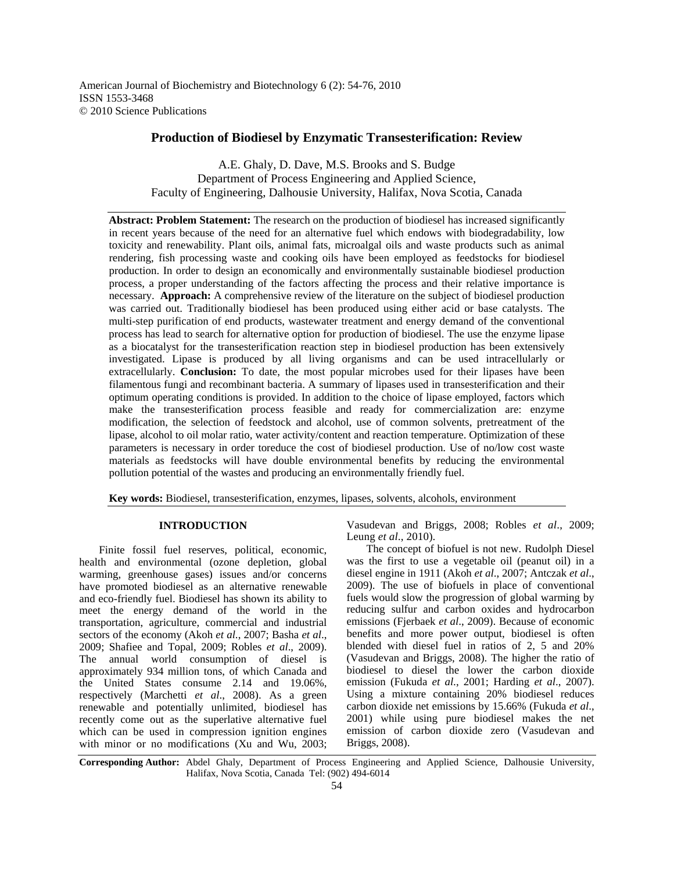American Journal of Biochemistry and Biotechnology 6 (2): 54-76, 2010 ISSN 1553-3468 © 2010 Science Publications

# **Production of Biodiesel by Enzymatic Transesterification: Review**

A.E. Ghaly, D. Dave, M.S. Brooks and S. Budge Department of Process Engineering and Applied Science, Faculty of Engineering, Dalhousie University, Halifax, Nova Scotia, Canada

**Abstract: Problem Statement:** The research on the production of biodiesel has increased significantly in recent years because of the need for an alternative fuel which endows with biodegradability, low toxicity and renewability. Plant oils, animal fats, microalgal oils and waste products such as animal rendering, fish processing waste and cooking oils have been employed as feedstocks for biodiesel production. In order to design an economically and environmentally sustainable biodiesel production process, a proper understanding of the factors affecting the process and their relative importance is necessary. **Approach:** A comprehensive review of the literature on the subject of biodiesel production was carried out. Traditionally biodiesel has been produced using either acid or base catalysts. The multi-step purification of end products, wastewater treatment and energy demand of the conventional process has lead to search for alternative option for production of biodiesel. The use the enzyme lipase as a biocatalyst for the transesterification reaction step in biodiesel production has been extensively investigated. Lipase is produced by all living organisms and can be used intracellularly or extracellularly. **Conclusion:** To date, the most popular microbes used for their lipases have been filamentous fungi and recombinant bacteria. A summary of lipases used in transesterification and their optimum operating conditions is provided. In addition to the choice of lipase employed, factors which make the transesterification process feasible and ready for commercialization are: enzyme modification, the selection of feedstock and alcohol, use of common solvents, pretreatment of the lipase, alcohol to oil molar ratio, water activity/content and reaction temperature. Optimization of these parameters is necessary in order toreduce the cost of biodiesel production. Use of no/low cost waste materials as feedstocks will have double environmental benefits by reducing the environmental pollution potential of the wastes and producing an environmentally friendly fuel.

**Key words:** Biodiesel, transesterification, enzymes, lipases, solvents, alcohols, environment

## **INTRODUCTION**

 Finite fossil fuel reserves, political, economic, health and environmental (ozone depletion, global warming, greenhouse gases) issues and/or concerns have promoted biodiesel as an alternative renewable and eco-friendly fuel. Biodiesel has shown its ability to meet the energy demand of the world in the transportation, agriculture, commercial and industrial sectors of the economy (Akoh *et al*., 2007; Basha *et al*., 2009; Shafiee and Topal, 2009; Robles *et al*., 2009). The annual world consumption of diesel is approximately 934 million tons, of which Canada and the United States consume 2.14 and 19.06%, respectively (Marchetti *et al*., 2008). As a green renewable and potentially unlimited, biodiesel has recently come out as the superlative alternative fuel which can be used in compression ignition engines with minor or no modifications (Xu and Wu, 2003;

Vasudevan and Briggs, 2008; Robles *et al*., 2009; Leung *et al*., 2010).

 The concept of biofuel is not new. Rudolph Diesel was the first to use a vegetable oil (peanut oil) in a diesel engine in 1911 (Akoh *et al*., 2007; Antczak *et al*., 2009). The use of biofuels in place of conventional fuels would slow the progression of global warming by reducing sulfur and carbon oxides and hydrocarbon emissions (Fjerbaek *et al*., 2009). Because of economic benefits and more power output, biodiesel is often blended with diesel fuel in ratios of 2, 5 and 20% (Vasudevan and Briggs, 2008). The higher the ratio of biodiesel to diesel the lower the carbon dioxide emission (Fukuda *et al*., 2001; Harding *et al*., 2007). Using a mixture containing 20% biodiesel reduces carbon dioxide net emissions by 15.66% (Fukuda *et al*., 2001) while using pure biodiesel makes the net emission of carbon dioxide zero (Vasudevan and Briggs, 2008).

**Corresponding Author:** Abdel Ghaly, Department of Process Engineering and Applied Science, Dalhousie University, Halifax, Nova Scotia, Canada Tel: (902) 494-6014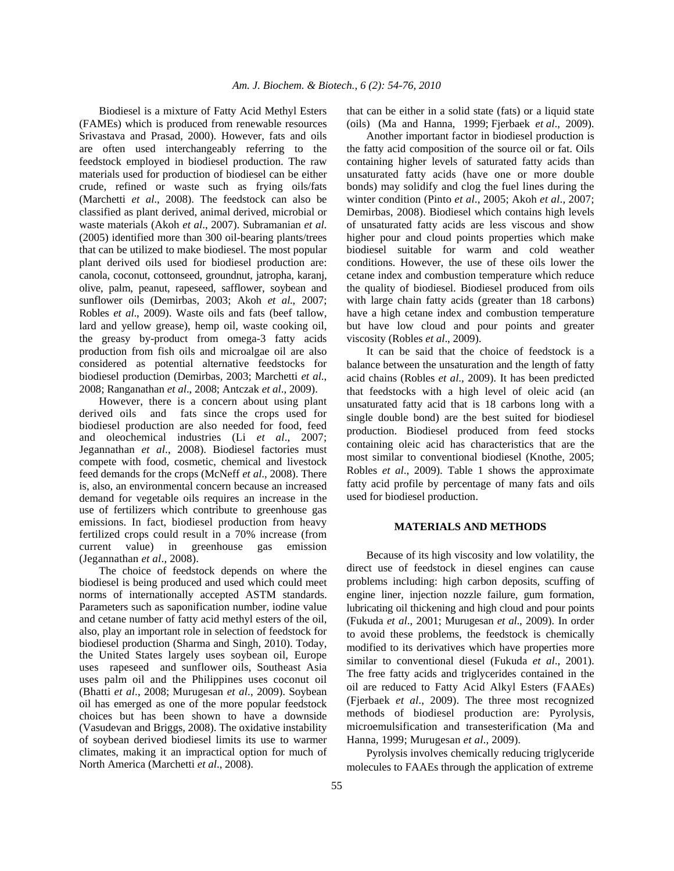Biodiesel is a mixture of Fatty Acid Methyl Esters (FAMEs) which is produced from renewable resources Srivastava and Prasad, 2000). However, fats and oils are often used interchangeably referring to the feedstock employed in biodiesel production. The raw materials used for production of biodiesel can be either crude, refined or waste such as frying oils/fats (Marchetti *et al*., 2008). The feedstock can also be classified as plant derived, animal derived, microbial or waste materials (Akoh *et al*., 2007). Subramanian *et al*. (2005) identified more than 300 oil-bearing plants/trees that can be utilized to make biodiesel. The most popular plant derived oils used for biodiesel production are: canola, coconut, cottonseed, groundnut, jatropha, karanj, olive, palm, peanut, rapeseed, safflower, soybean and sunflower oils (Demirbas, 2003; Akoh *et al*., 2007; Robles *et al*., 2009). Waste oils and fats (beef tallow, lard and yellow grease), hemp oil, waste cooking oil, the greasy by-product from omega-3 fatty acids production from fish oils and microalgae oil are also considered as potential alternative feedstocks for biodiesel production (Demirbas, 2003; Marchetti *et al*., 2008; Ranganathan *et al*., 2008; Antczak *et al*., 2009).

 However, there is a concern about using plant derived oils and fats since the crops used for biodiesel production are also needed for food, feed and oleochemical industries (Li *et al*., 2007; Jegannathan *et al*., 2008). Biodiesel factories must compete with food, cosmetic, chemical and livestock feed demands for the crops (McNeff *et al*., 2008). There is, also, an environmental concern because an increased demand for vegetable oils requires an increase in the use of fertilizers which contribute to greenhouse gas emissions. In fact, biodiesel production from heavy fertilized crops could result in a 70% increase (from current value) in greenhouse gas emission (Jegannathan *et al*., 2008).

 The choice of feedstock depends on where the biodiesel is being produced and used which could meet norms of internationally accepted ASTM standards. Parameters such as saponification number, iodine value and cetane number of fatty acid methyl esters of the oil, also, play an important role in selection of feedstock for biodiesel production (Sharma and Singh, 2010). Today, the United States largely uses soybean oil, Europe uses rapeseed and sunflower oils, Southeast Asia uses palm oil and the Philippines uses coconut oil (Bhatti *et al*., 2008; Murugesan *et al*., 2009). Soybean oil has emerged as one of the more popular feedstock choices but has been shown to have a downside (Vasudevan and Briggs, 2008). The oxidative instability of soybean derived biodiesel limits its use to warmer climates, making it an impractical option for much of North America (Marchetti *et al*., 2008).

that can be either in a solid state (fats) or a liquid state (oils) (Ma and Hanna, 1999; Fjerbaek *et al*., 2009).

 Another important factor in biodiesel production is the fatty acid composition of the source oil or fat. Oils containing higher levels of saturated fatty acids than unsaturated fatty acids (have one or more double bonds) may solidify and clog the fuel lines during the winter condition (Pinto *et al*., 2005; Akoh *et al*., 2007; Demirbas, 2008). Biodiesel which contains high levels of unsaturated fatty acids are less viscous and show higher pour and cloud points properties which make biodiesel suitable for warm and cold weather conditions. However, the use of these oils lower the cetane index and combustion temperature which reduce the quality of biodiesel. Biodiesel produced from oils with large chain fatty acids (greater than 18 carbons) have a high cetane index and combustion temperature but have low cloud and pour points and greater viscosity (Robles *et al*., 2009).

 It can be said that the choice of feedstock is a balance between the unsaturation and the length of fatty acid chains (Robles *et al*., 2009). It has been predicted that feedstocks with a high level of oleic acid (an unsaturated fatty acid that is 18 carbons long with a single double bond) are the best suited for biodiesel production. Biodiesel produced from feed stocks containing oleic acid has characteristics that are the most similar to conventional biodiesel (Knothe, 2005; Robles *et al*., 2009). Table 1 shows the approximate fatty acid profile by percentage of many fats and oils used for biodiesel production.

# **MATERIALS AND METHODS**

Because of its high viscosity and low volatility, the direct use of feedstock in diesel engines can cause problems including: high carbon deposits, scuffing of engine liner, injection nozzle failure, gum formation, lubricating oil thickening and high cloud and pour points (Fukuda *et al*., 2001; Murugesan *et al*., 2009). In order to avoid these problems, the feedstock is chemically modified to its derivatives which have properties more similar to conventional diesel (Fukuda *et al*., 2001). The free fatty acids and triglycerides contained in the oil are reduced to Fatty Acid Alkyl Esters (FAAEs) (Fjerbaek *et al*., 2009). The three most recognized methods of biodiesel production are: Pyrolysis, microemulsification and transesterification (Ma and Hanna, 1999; Murugesan *et al*., 2009).

 Pyrolysis involves chemically reducing triglyceride molecules to FAAEs through the application of extreme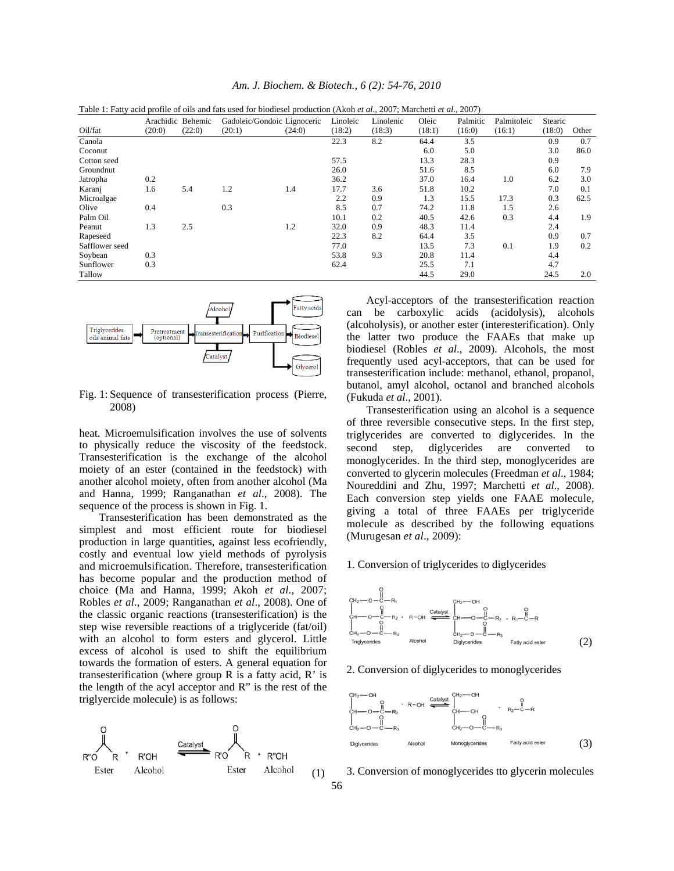|                |        |                   | Table 1: Fatty acid profile of oils and fats used for biodiesel production (Akoh et al., 2007; Marchetti et al., 2007) |        |          |           |        |          |             |         |       |
|----------------|--------|-------------------|------------------------------------------------------------------------------------------------------------------------|--------|----------|-----------|--------|----------|-------------|---------|-------|
|                |        | Arachidic Behemic | Gadoleic/Gondoic Lignoceric                                                                                            |        | Linoleic | Linolenic | Oleic  | Palmitic | Palmitoleic | Stearic |       |
| Oil/fat        | (20:0) | (22:0)            | (20:1)                                                                                                                 | (24:0) | (18:2)   | (18:3)    | (18:1) | (16:0)   | (16:1)      | (18:0)  | Other |
| Canola         |        |                   |                                                                                                                        |        | 22.3     | 8.2       | 64.4   | 3.5      |             | 0.9     | 0.7   |
| Coconut        |        |                   |                                                                                                                        |        |          |           | 6.0    | 5.0      |             | 3.0     | 86.0  |
| Cotton seed    |        |                   |                                                                                                                        |        | 57.5     |           | 13.3   | 28.3     |             | 0.9     |       |
| Groundnut      |        |                   |                                                                                                                        |        | 26.0     |           | 51.6   | 8.5      |             | 6.0     | 7.9   |
| Jatropha       | 0.2    |                   |                                                                                                                        |        | 36.2     |           | 37.0   | 16.4     | 1.0         | 6.2     | 3.0   |
| Karanj         | 1.6    | 5.4               | 1.2                                                                                                                    | 1.4    | 17.7     | 3.6       | 51.8   | 10.2     |             | 7.0     | 0.1   |
| Microalgae     |        |                   |                                                                                                                        |        | 2.2      | 0.9       | 1.3    | 15.5     | 17.3        | 0.3     | 62.5  |
| Olive          | 0.4    |                   | 0.3                                                                                                                    |        | 8.5      | 0.7       | 74.2   | 11.8     | 1.5         | 2.6     |       |
| Palm Oil       |        |                   |                                                                                                                        |        | 10.1     | 0.2       | 40.5   | 42.6     | 0.3         | 4.4     | 1.9   |
| Peanut         | 1.3    | 2.5               |                                                                                                                        | 1.2    | 32.0     | 0.9       | 48.3   | 11.4     |             | 2.4     |       |
| Rapeseed       |        |                   |                                                                                                                        |        | 22.3     | 8.2       | 64.4   | 3.5      |             | 0.9     | 0.7   |
| Safflower seed |        |                   |                                                                                                                        |        | 77.0     |           | 13.5   | 7.3      | 0.1         | 1.9     | 0.2   |
| Soybean        | 0.3    |                   |                                                                                                                        |        | 53.8     | 9.3       | 20.8   | 11.4     |             | 4.4     |       |
| Sunflower      | 0.3    |                   |                                                                                                                        |        | 62.4     |           | 25.5   | 7.1      |             | 4.7     |       |
| Tallow         |        |                   |                                                                                                                        |        |          |           | 44.5   | 29.0     |             | 24.5    | 2.0   |

*Am. J. Biochem. & Biotech., 6 (2): 54-76, 2010* 



Fig. 1: Sequence of transesterification process (Pierre, 2008)

heat. Microemulsification involves the use of solvents to physically reduce the viscosity of the feedstock. Transesterification is the exchange of the alcohol moiety of an ester (contained in the feedstock) with another alcohol moiety, often from another alcohol (Ma and Hanna, 1999; Ranganathan *et al*., 2008). The sequence of the process is shown in Fig. 1.

 Transesterification has been demonstrated as the simplest and most efficient route for biodiesel production in large quantities, against less ecofriendly, costly and eventual low yield methods of pyrolysis and microemulsification. Therefore, transesterification has become popular and the production method of choice (Ma and Hanna, 1999; Akoh *et al*., 2007; Robles *et al*., 2009; Ranganathan *et al*., 2008). One of the classic organic reactions (transesterification) is the step wise reversible reactions of a triglyceride (fat/oil) with an alcohol to form esters and glycerol. Little excess of alcohol is used to shift the equilibrium towards the formation of esters. A general equation for transesterification (where group R is a fatty acid, R' is the length of the acyl acceptor and R" is the rest of the triglyercide molecule) is as follows:



 Acyl-acceptors of the transesterification reaction can be carboxylic acids (acidolysis), alcohols (alcoholysis), or another ester (interesterification). Only the latter two produce the FAAEs that make up biodiesel (Robles *et al*., 2009). Alcohols, the most frequently used acyl-acceptors, that can be used for transesterification include: methanol, ethanol, propanol, butanol, amyl alcohol, octanol and branched alcohols (Fukuda *et al*., 2001).

 Transesterification using an alcohol is a sequence of three reversible consecutive steps. In the first step, triglycerides are converted to diglycerides. In the second step, diglycerides are converted to monoglycerides. In the third step, monoglycerides are converted to glycerin molecules (Freedman *et al*., 1984; Noureddini and Zhu, 1997; Marchetti *et al*., 2008). Each conversion step yields one FAAE molecule, giving a total of three FAAEs per triglyceride molecule as described by the following equations (Murugesan *et al*., 2009):

#### 1. Conversion of triglycerides to diglycerides



2. Conversion of diglycerides to monoglycerides



3. Conversion of monoglycerides tto glycerin molecules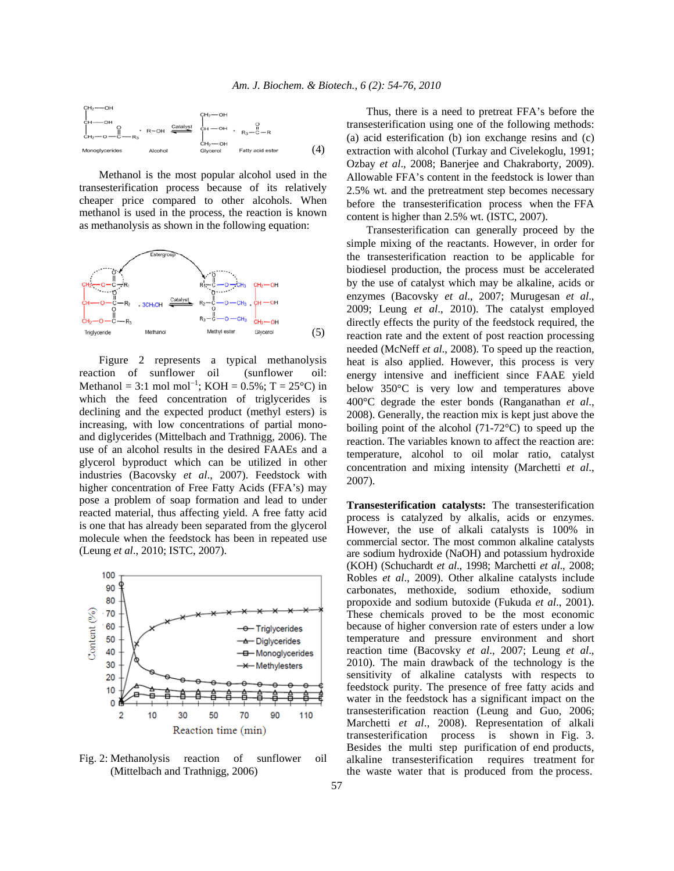

 Methanol is the most popular alcohol used in the transesterification process because of its relatively cheaper price compared to other alcohols. When methanol is used in the process, the reaction is known as methanolysis as shown in the following equation:



 Figure 2 represents a typical methanolysis reaction of sunflower oil (sunflower oil: Methanol = 3:1 mol mol<sup>-1</sup>; KOH =  $0.5\%$ ; T =  $25^{\circ}$ C) in which the feed concentration of triglycerides is declining and the expected product (methyl esters) is increasing, with low concentrations of partial monoand diglycerides (Mittelbach and Trathnigg, 2006). The use of an alcohol results in the desired FAAEs and a glycerol byproduct which can be utilized in other industries (Bacovsky *et al*., 2007). Feedstock with higher concentration of Free Fatty Acids (FFA's) may pose a problem of soap formation and lead to under reacted material, thus affecting yield. A free fatty acid is one that has already been separated from the glycerol molecule when the feedstock has been in repeated use (Leung *et al*., 2010; ISTC, 2007).



Fig. 2: Methanolysis reaction of sunflower oil (Mittelbach and Trathnigg, 2006)

 Thus, there is a need to pretreat FFA's before the transesterification using one of the following methods: (a) acid esterification (b) ion exchange resins and (c) extraction with alcohol (Turkay and Civelekoglu, 1991; Ozbay *et al*., 2008; Banerjee and Chakraborty, 2009). Allowable FFA's content in the feedstock is lower than 2.5% wt. and the pretreatment step becomes necessary before the transesterification process when the FFA content is higher than 2.5% wt. (ISTC, 2007).

 Transesterification can generally proceed by the simple mixing of the reactants. However, in order for the transesterification reaction to be applicable for biodiesel production, the process must be accelerated by the use of catalyst which may be alkaline, acids or enzymes (Bacovsky *et al*., 2007; Murugesan *et al*., 2009; Leung *et al*., 2010). The catalyst employed directly effects the purity of the feedstock required, the reaction rate and the extent of post reaction processing needed (McNeff *et al*., 2008). To speed up the reaction, heat is also applied. However, this process is very energy intensive and inefficient since FAAE yield below 350°C is very low and temperatures above 400°C degrade the ester bonds (Ranganathan *et al*., 2008). Generally, the reaction mix is kept just above the boiling point of the alcohol (71-72°C) to speed up the reaction. The variables known to affect the reaction are: temperature, alcohol to oil molar ratio, catalyst concentration and mixing intensity (Marchetti *et al*., 2007).

**Transesterification catalysts:** The transesterification process is catalyzed by alkalis, acids or enzymes. However, the use of alkali catalysts is 100% in commercial sector. The most common alkaline catalysts are sodium hydroxide (NaOH) and potassium hydroxide (KOH) (Schuchardt *et al*., 1998; Marchetti *et al*., 2008; Robles *et al*., 2009). Other alkaline catalysts include carbonates, methoxide, sodium ethoxide, sodium propoxide and sodium butoxide (Fukuda *et al*., 2001). These chemicals proved to be the most economic because of higher conversion rate of esters under a low temperature and pressure environment and short reaction time (Bacovsky *et al*., 2007; Leung *et al*., 2010). The main drawback of the technology is the sensitivity of alkaline catalysts with respects to feedstock purity. The presence of free fatty acids and water in the feedstock has a significant impact on the transesterification reaction (Leung and Guo, 2006; Marchetti *et al*., 2008). Representation of alkali transesterification process is shown in Fig. 3. Besides the multi step purification of end products, alkaline transesterification requires treatment for the waste water that is produced from the process.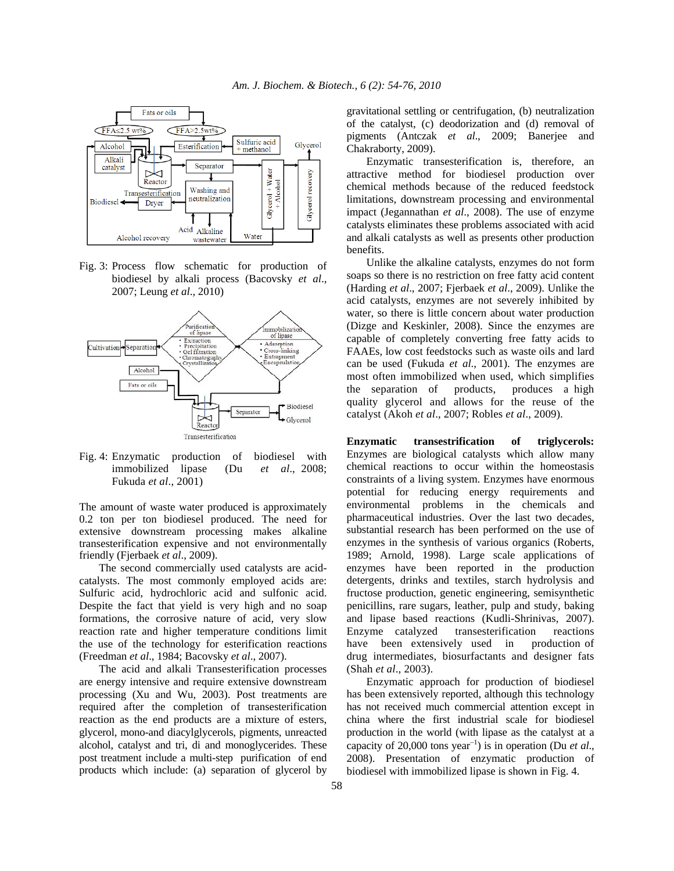

Fig. 3: Process flow schematic for production of biodiesel by alkali process (Bacovsky *et al*., 2007; Leung *et al*., 2010)



Fig. 4: Enzymatic production of biodiesel with immobilized lipase (Du *et al*., 2008; Fukuda *et al*., 2001)

The amount of waste water produced is approximately 0.2 ton per ton biodiesel produced. The need for extensive downstream processing makes alkaline transesterification expensive and not environmentally friendly (Fjerbaek *et al*., 2009).

 The second commercially used catalysts are acidcatalysts. The most commonly employed acids are: Sulfuric acid, hydrochloric acid and sulfonic acid. Despite the fact that yield is very high and no soap formations, the corrosive nature of acid, very slow reaction rate and higher temperature conditions limit the use of the technology for esterification reactions (Freedman *et al*., 1984; Bacovsky *et al*., 2007).

 The acid and alkali Transesterification processes are energy intensive and require extensive downstream processing (Xu and Wu, 2003). Post treatments are required after the completion of transesterification reaction as the end products are a mixture of esters, glycerol, mono-and diacylglycerols, pigments, unreacted alcohol, catalyst and tri, di and monoglycerides. These post treatment include a multi-step purification of end products which include: (a) separation of glycerol by gravitational settling or centrifugation, (b) neutralization of the catalyst, (c) deodorization and (d) removal of pigments (Antczak *et al*., 2009; Banerjee and Chakraborty, 2009).

 Enzymatic transesterification is, therefore, an attractive method for biodiesel production over chemical methods because of the reduced feedstock limitations, downstream processing and environmental impact (Jegannathan *et al*., 2008). The use of enzyme catalysts eliminates these problems associated with acid and alkali catalysts as well as presents other production benefits.

 Unlike the alkaline catalysts, enzymes do not form soaps so there is no restriction on free fatty acid content (Harding *et al*., 2007; Fjerbaek *et al*., 2009). Unlike the acid catalysts, enzymes are not severely inhibited by water, so there is little concern about water production (Dizge and Keskinler, 2008). Since the enzymes are capable of completely converting free fatty acids to FAAEs, low cost feedstocks such as waste oils and lard can be used (Fukuda *et al*., 2001). The enzymes are most often immobilized when used, which simplifies the separation of products, produces a high quality glycerol and allows for the reuse of the catalyst (Akoh *et al*., 2007; Robles *et al*., 2009).

**Enzymatic transestrification of triglycerols:**  Enzymes are biological catalysts which allow many chemical reactions to occur within the homeostasis constraints of a living system. Enzymes have enormous potential for reducing energy requirements and environmental problems in the chemicals and pharmaceutical industries. Over the last two decades, substantial research has been performed on the use of enzymes in the synthesis of various organics (Roberts, 1989; Arnold, 1998). Large scale applications of enzymes have been reported in the production detergents, drinks and textiles, starch hydrolysis and fructose production, genetic engineering, semisynthetic penicillins, rare sugars, leather, pulp and study, baking and lipase based reactions (Kudli-Shrinivas, 2007). Enzyme catalyzed transesterification reactions have been extensively used in production of drug intermediates, biosurfactants and designer fats (Shah *et al*., 2003).

 Enzymatic approach for production of biodiesel has been extensively reported, although this technology has not received much commercial attention except in china where the first industrial scale for biodiesel production in the world (with lipase as the catalyst at a capacity of 20,000 tons year<sup>−</sup><sup>1</sup> ) is in operation (Du *et al*., 2008). Presentation of enzymatic production of biodiesel with immobilized lipase is shown in Fig. 4.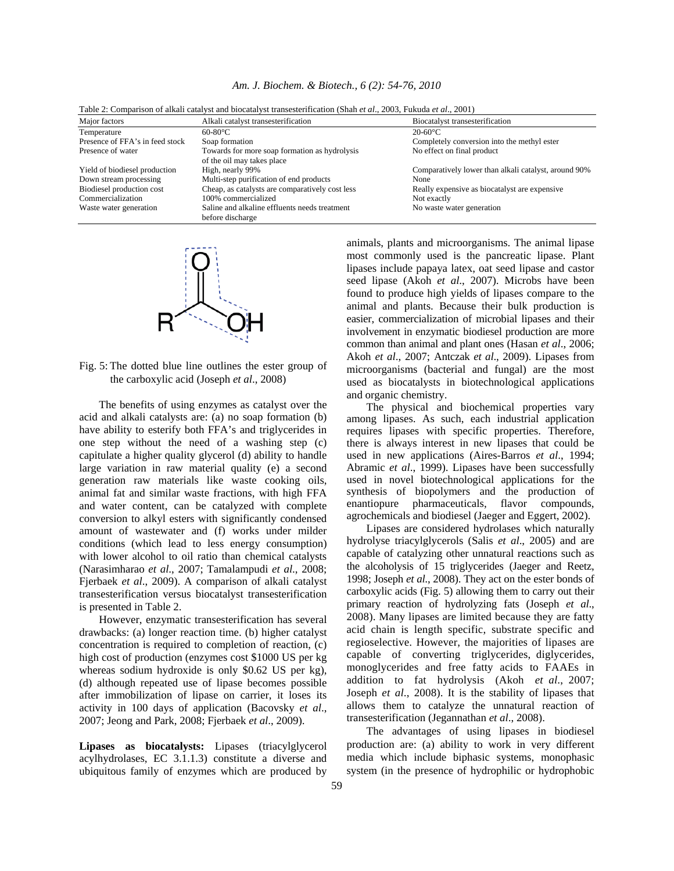|                                 | Tuble 2. Companion of analysis and blocaus of transportancement (phan of an, 2009, I and all of an, 2001) |                                                      |
|---------------------------------|-----------------------------------------------------------------------------------------------------------|------------------------------------------------------|
| Major factors                   | Alkali catalyst transesterification                                                                       | Biocatalyst transesterification                      |
| Temperature                     | $60-80$ °C                                                                                                | $20-60$ °C                                           |
| Presence of FFA's in feed stock | Soap formation                                                                                            | Completely conversion into the methyl ester          |
| Presence of water               | Towards for more soap formation as hydrolysis                                                             | No effect on final product                           |
|                                 | of the oil may takes place                                                                                |                                                      |
| Yield of biodiesel production   | High, nearly 99%                                                                                          | Comparatively lower than alkali catalyst, around 90% |
| Down stream processing          | Multi-step purification of end products                                                                   | None                                                 |
| Biodiesel production cost       | Cheap, as catalysts are comparatively cost less                                                           | Really expensive as biocatalyst are expensive        |
| Commercialization               | 100% commercialized                                                                                       | Not exactly                                          |
| Waste water generation          | Saline and alkaline effluents needs treatment                                                             | No waste water generation                            |
|                                 | before discharge                                                                                          |                                                      |

*Am. J. Biochem. & Biotech., 6 (2): 54-76, 2010* 

Table 2: Comparison of alkali catalyst and biocatalyst transesterification (Shah *et al*., 2003, Fukuda *et al*., 2001)



Fig. 5: The dotted blue line outlines the ester group of the carboxylic acid (Joseph *et al*., 2008)

 The benefits of using enzymes as catalyst over the acid and alkali catalysts are: (a) no soap formation (b) have ability to esterify both FFA's and triglycerides in one step without the need of a washing step (c) capitulate a higher quality glycerol (d) ability to handle large variation in raw material quality (e) a second generation raw materials like waste cooking oils, animal fat and similar waste fractions, with high FFA and water content, can be catalyzed with complete conversion to alkyl esters with significantly condensed amount of wastewater and (f) works under milder conditions (which lead to less energy consumption) with lower alcohol to oil ratio than chemical catalysts (Narasimharao *et al*., 2007; Tamalampudi *et al*., 2008; Fjerbaek *et al*., 2009). A comparison of alkali catalyst transesterification versus biocatalyst transesterification is presented in Table 2.

 However, enzymatic transesterification has several drawbacks: (a) longer reaction time. (b) higher catalyst concentration is required to completion of reaction, (c) high cost of production (enzymes cost \$1000 US per kg whereas sodium hydroxide is only \$0.62 US per kg), (d) although repeated use of lipase becomes possible after immobilization of lipase on carrier, it loses its activity in 100 days of application (Bacovsky *et al*., 2007; Jeong and Park, 2008; Fjerbaek *et al*., 2009).

**Lipases as biocatalysts:** Lipases (triacylglycerol acylhydrolases, EC 3.1.1.3) constitute a diverse and ubiquitous family of enzymes which are produced by animals, plants and microorganisms. The animal lipase most commonly used is the pancreatic lipase. Plant lipases include papaya latex, oat seed lipase and castor seed lipase (Akoh *et al*., 2007). Microbs have been found to produce high yields of lipases compare to the animal and plants. Because their bulk production is easier, commercialization of microbial lipases and their involvement in enzymatic biodiesel production are more common than animal and plant ones (Hasan *et al*., 2006; Akoh *et al*., 2007; Antczak *et al*., 2009). Lipases from microorganisms (bacterial and fungal) are the most used as biocatalysts in biotechnological applications and organic chemistry.

 The physical and biochemical properties vary among lipases. As such, each industrial application requires lipases with specific properties. Therefore, there is always interest in new lipases that could be used in new applications (Aires-Barros *et al*., 1994; Abramic *et al*., 1999). Lipases have been successfully used in novel biotechnological applications for the synthesis of biopolymers and the production of enantiopure pharmaceuticals, flavor compounds, agrochemicals and biodiesel (Jaeger and Eggert, 2002).

 Lipases are considered hydrolases which naturally hydrolyse triacylglycerols (Salis *et al*., 2005) and are capable of catalyzing other unnatural reactions such as the alcoholysis of 15 triglycerides (Jaeger and Reetz, 1998; Joseph *et al*., 2008). They act on the ester bonds of carboxylic acids (Fig. 5) allowing them to carry out their primary reaction of hydrolyzing fats (Joseph *et al*., 2008). Many lipases are limited because they are fatty acid chain is length specific, substrate specific and regioselective. However, the majorities of lipases are capable of converting triglycerides, diglycerides, monoglycerides and free fatty acids to FAAEs in addition to fat hydrolysis (Akoh *et al*., 2007; Joseph *et al*., 2008). It is the stability of lipases that allows them to catalyze the unnatural reaction of transesterification (Jegannathan *et al*., 2008).

 The advantages of using lipases in biodiesel production are: (a) ability to work in very different media which include biphasic systems, monophasic system (in the presence of hydrophilic or hydrophobic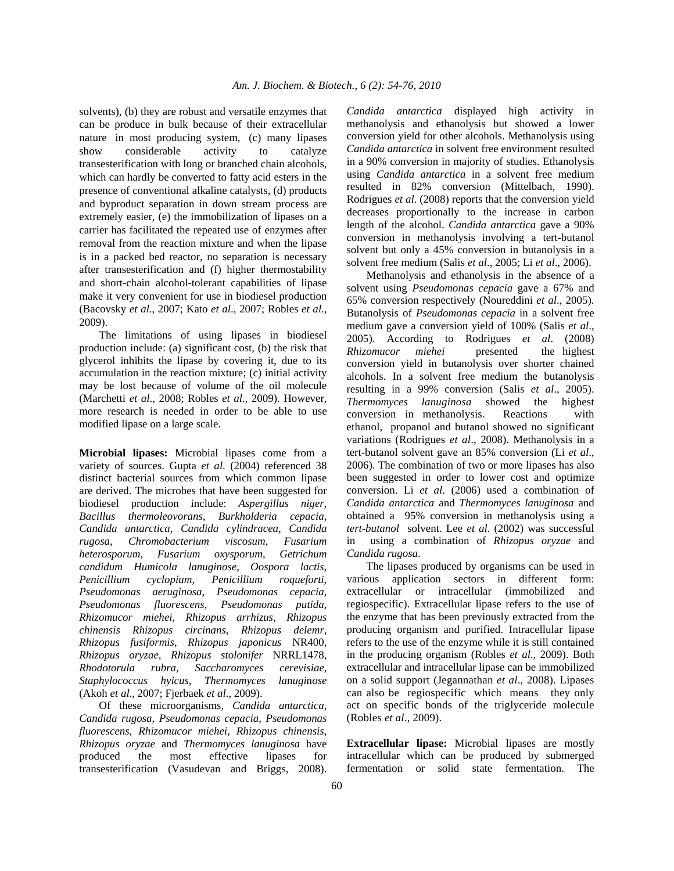solvents), (b) they are robust and versatile enzymes that can be produce in bulk because of their extracellular nature in most producing system, (c) many lipases show considerable activity to catalyze transesterification with long or branched chain alcohols, which can hardly be converted to fatty acid esters in the presence of conventional alkaline catalysts, (d) products and byproduct separation in down stream process are extremely easier, (e) the immobilization of lipases on a carrier has facilitated the repeated use of enzymes after removal from the reaction mixture and when the lipase is in a packed bed reactor, no separation is necessary after transesterification and (f) higher thermostability and short-chain alcohol-tolerant capabilities of lipase make it very convenient for use in biodiesel production (Bacovsky *et al*., 2007; Kato *et al*., 2007; Robles *et al*., 2009).

 The limitations of using lipases in biodiesel production include: (a) significant cost, (b) the risk that glycerol inhibits the lipase by covering it, due to its accumulation in the reaction mixture; (c) initial activity may be lost because of volume of the oil molecule (Marchetti *et al*., 2008; Robles *et al*., 2009). However, more research is needed in order to be able to use modified lipase on a large scale.

**Microbial lipases:** Microbial lipases come from a variety of sources. Gupta *et al*. (2004) referenced 38 distinct bacterial sources from which common lipase are derived. The microbes that have been suggested for biodiesel production include: *Aspergillus niger*, *Bacillus thermoleovorans*, *Burkholderia cepacia*, *Candida antarctica*, *Candida cylindracea*, *Candida rugosa*, *Chromobacterium viscosum*, *Fusarium heterosporum*, *Fusarium oxysporum*, *Getrichum candidum Humicola lanuginose*, *Oospora lactis*, *Penicillium cyclopium*, *Penicillium roqueforti*, *Pseudomonas aeruginosa*, *Pseudomonas cepacia*, *Pseudomonas fluorescens*, *Pseudomonas putida*, *Rhizomucor miehei*, *Rhizopus arrhizus*, *Rhizopus chinensis Rhizopus circinans*, *Rhizopus delemr*, *Rhizopus fusiformis*, *Rhizopus japonicus* NR400, *Rhizopus oryzae*, *Rhizopus stolonifer* NRRL1478, *Rhodotorula rubra*, *Saccharomyces cerevisiae*, *Staphylococcus hyicus*, *Thermomyces la*n*ugi*n*ose*  (Akoh *et al*., 2007; Fjerbaek *et al*., 2009).

 Of these microorganisms, *Candida antarctica*, *Candida rugosa*, *Pseudomonas cepacia*, *Pseudomonas fluorescens*, *Rhizomucor miehei*, *Rhizopus chinensis*, *Rhizopus oryzae* and *Thermomyces lanuginosa* have produced the most effective lipases for transesterification (Vasudevan and Briggs, 2008). *Ca*n*dida a*n*tarctica* displayed high activity in methanolysis and ethanolysis but showed a lower conversion yield for other alcohols. Methanolysis using *Candida antarctica* in solvent free environment resulted in a 90% conversion in majority of studies. Ethanolysis using *Candida antarctica* in a solvent free medium resulted in 82% conversion (Mittelbach, 1990). Rodrigues *et al*. (2008) reports that the conversion yield decreases proportionally to the increase in carbon length of the alcohol. *Candida antarctica* gave a 90% conversion in methanolysis involving a tert-butanol solvent but only a 45% conversion in butanolysis in a solvent free medium (Salis *et al*., 2005; Li *et al*., 2006).

 Methanolysis and ethanolysis in the absence of a solvent using *Pseudomonas cepacia* gave a 67% and 65% conversion respectively (Noureddini *et al*., 2005). Butanolysis of *Pseudomonas cepacia* in a solvent free medium gave a conversion yield of 100% (Salis *et al*., 2005). According to Rodrigues *et al*. (2008) *Rhizomucor miehei* presented the highest conversion yield in butanolysis over shorter chained alcohols. In a solvent free medium the butanolysis resulting in a 99% conversion (Salis *et al*., 2005). *Thermomyces lanuginosa* showed the highest conversion in methanolysis. Reactions with ethanol, propanol and butanol showed no significant variations (Rodrigues *et al*., 2008). Methanolysis in a tert-butanol solvent gave an 85% conversion (Li *et al*., 2006). The combination of two or more lipases has also been suggested in order to lower cost and optimize conversion. Li *et al*. (2006) used a combination of *Candida antarctica* and *Thermomyces lanuginosa* and obtained a 95% conversion in methanolysis using a *tert*-*butanol* solvent. Lee *et al*. (2002) was successful in using a combination of *Rhizopus oryzae* and *Candida rugosa*.

 The lipases produced by organisms can be used in various application sectors in different form: extracellular or intracellular (immobilized and regiospecific). Extracellular lipase refers to the use of the enzyme that has been previously extracted from the producing organism and purified. Intracellular lipase refers to the use of the enzyme while it is still contained in the producing organism (Robles *et al*., 2009). Both extracellular and intracellular lipase can be immobilized on a solid support (Jegannathan *et al*., 2008). Lipases can also be regiospecific which means they only act on specific bonds of the triglyceride molecule (Robles *et al*., 2009).

**Extracellular lipase:** Microbial lipases are mostly intracellular which can be produced by submerged fermentation or solid state fermentation. The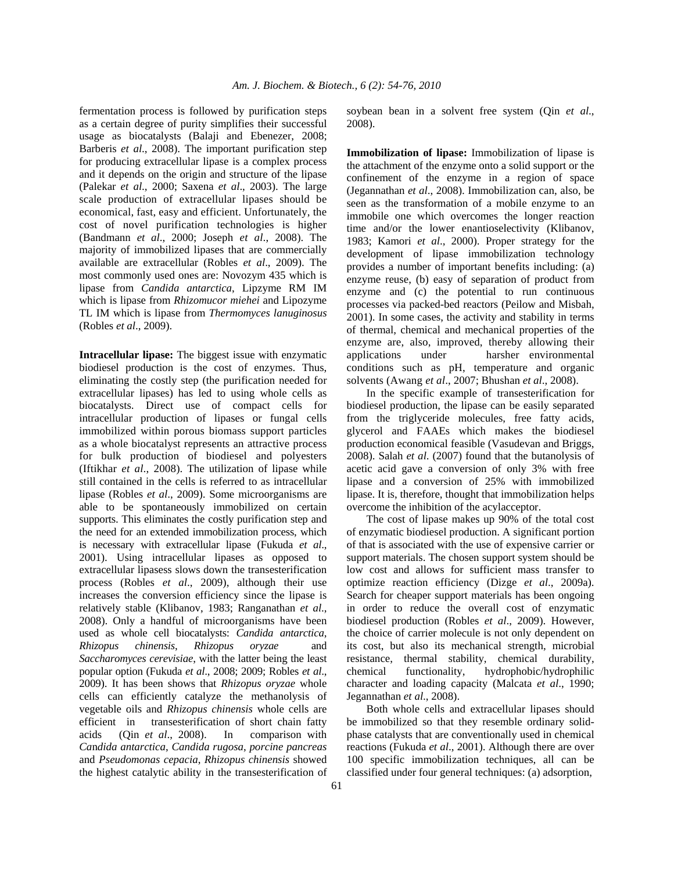fermentation process is followed by purification steps as a certain degree of purity simplifies their successful usage as biocatalysts (Balaji and Ebenezer, 2008; Barberis *et al*., 2008). The important purification step for producing extracellular lipase is a complex process and it depends on the origin and structure of the lipase (Palekar *et al*., 2000; Saxena *et al*., 2003). The large scale production of extracellular lipases should be economical, fast, easy and efficient. Unfortunately, the cost of novel purification technologies is higher (Bandmann *et al*., 2000; Joseph *et al*., 2008). The majority of immobilized lipases that are commercially available are extracellular (Robles *et al*., 2009). The most commonly used ones are: Novozym 435 which is lipase from *Candida antarctica*, Lipzyme RM IM which is lipase from *Rhizomucor miehei* and Lipozyme TL IM which is lipase from *Thermomyces lanuginosus*  (Robles *et al*., 2009).

**Intracellular lipase:** The biggest issue with enzymatic biodiesel production is the cost of enzymes. Thus, eliminating the costly step (the purification needed for extracellular lipases) has led to using whole cells as biocatalysts. Direct use of compact cells for intracellular production of lipases or fungal cells immobilized within porous biomass support particles as a whole biocatalyst represents an attractive process for bulk production of biodiesel and polyesters (Iftikhar *et al*., 2008). The utilization of lipase while still contained in the cells is referred to as intracellular lipase (Robles *et al*., 2009). Some microorganisms are able to be spontaneously immobilized on certain supports. This eliminates the costly purification step and the need for an extended immobilization process, which is necessary with extracellular lipase (Fukuda *et al*., 2001). Using intracellular lipases as opposed to extracellular lipasess slows down the transesterification process (Robles *et al*., 2009), although their use increases the conversion efficiency since the lipase is relatively stable (Klibanov, 1983; Ranganathan *et al*., 2008). Only a handful of microorganisms have been used as whole cell biocatalysts: *Candida antarctica*, *Rhizopus chinensis*, *Rhizopus oryzae* and *Saccharomyces cerevisiae*, with the latter being the least popular option (Fukuda *et al*., 2008; 2009; Robles *et al*., 2009). It has been shows that *Rhizopus oryzae* whole cells can efficiently catalyze the methanolysis of vegetable oils and *Rhizopus chinensis* whole cells are efficient in transesterification of short chain fatty acids (Qin *et al*., 2008). In comparison with *Ca*n*dida antarctica*, *Candida rugosa*, *porcine pancreas* and *Pseudomonas cepacia*, *Rhizopus chinensis* showed the highest catalytic ability in the transesterification of

soybean bean in a solvent free system (Qin *et al*., 2008).

**Immobilization of lipase:** Immobilization of lipase is the attachment of the enzyme onto a solid support or the confinement of the enzyme in a region of space (Jegannathan *et al*., 2008). Immobilization can, also, be seen as the transformation of a mobile enzyme to an immobile one which overcomes the longer reaction time and/or the lower enantioselectivity (Klibanov, 1983; Kamori *et al*., 2000). Proper strategy for the development of lipase immobilization technology provides a number of important benefits including: (a) enzyme reuse, (b) easy of separation of product from enzyme and (c) the potential to run continuous processes via packed-bed reactors (Peilow and Misbah, 2001). In some cases, the activity and stability in terms of thermal, chemical and mechanical properties of the enzyme are, also, improved, thereby allowing their applications under harsher environmental conditions such as pH, temperature and organic solvents (Awang *et al*., 2007; Bhushan *et al*., 2008).

 In the specific example of transesterification for biodiesel production, the lipase can be easily separated from the triglyceride molecules, free fatty acids, glycerol and FAAEs which makes the biodiesel production economical feasible (Vasudevan and Briggs, 2008). Salah *et al*. (2007) found that the butanolysis of acetic acid gave a conversion of only 3% with free lipase and a conversion of 25% with immobilized lipase. It is, therefore, thought that immobilization helps overcome the inhibition of the acylacceptor.

 The cost of lipase makes up 90% of the total cost of enzymatic biodiesel production. A significant portion of that is associated with the use of expensive carrier or support materials. The chosen support system should be low cost and allows for sufficient mass transfer to optimize reaction efficiency (Dizge *et al*., 2009a). Search for cheaper support materials has been ongoing in order to reduce the overall cost of enzymatic biodiesel production (Robles *et al*., 2009). However, the choice of carrier molecule is not only dependent on its cost, but also its mechanical strength, microbial resistance, thermal stability, chemical durability, chemical functionality, hydrophobic/hydrophilic character and loading capacity (Malcata *et al*., 1990; Jegannathan *et al*., 2008).

 Both whole cells and extracellular lipases should be immobilized so that they resemble ordinary solidphase catalysts that are conventionally used in chemical reactions (Fukuda *et al*., 2001). Although there are over 100 specific immobilization techniques, all can be classified under four general techniques: (a) adsorption,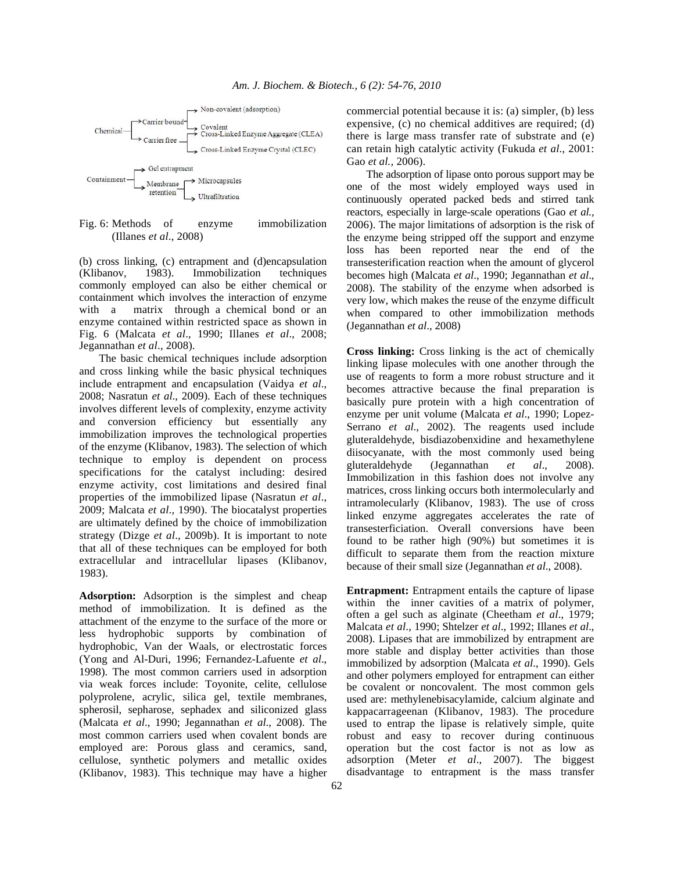

Fig. 6: Methods of enzyme immobilization (Illanes *et al*., 2008)

(b) cross linking, (c) entrapment and (d)encapsulation (Klibanov, 1983). Immobilization techniques commonly employed can also be either chemical or containment which involves the interaction of enzyme with a matrix through a chemical bond or an enzyme contained within restricted space as shown in Fig. 6 (Malcata *et al*., 1990; Illanes *et al*., 2008; Jegannathan *et al*., 2008).

 The basic chemical techniques include adsorption and cross linking while the basic physical techniques include entrapment and encapsulation (Vaidya *et al*., 2008; Nasratun *et al*., 2009). Each of these techniques involves different levels of complexity, enzyme activity and conversion efficiency but essentially any immobilization improves the technological properties of the enzyme (Klibanov, 1983). The selection of which technique to employ is dependent on process specifications for the catalyst including: desired enzyme activity, cost limitations and desired final properties of the immobilized lipase (Nasratun *et al*., 2009; Malcata *et al*., 1990). The biocatalyst properties are ultimately defined by the choice of immobilization strategy (Dizge *et al*., 2009b). It is important to note that all of these techniques can be employed for both extracellular and intracellular lipases (Klibanov, 1983).

**Adsorption:** Adsorption is the simplest and cheap method of immobilization. It is defined as the attachment of the enzyme to the surface of the more or less hydrophobic supports by combination of hydrophobic, Van der Waals, or electrostatic forces (Yong and Al-Duri, 1996; Fernandez-Lafuente *et al*., 1998). The most common carriers used in adsorption via weak forces include: Toyonite, celite, cellulose polyprolene, acrylic, silica gel, textile membranes, spherosil, sepharose, sephadex and siliconized glass (Malcata *et al*., 1990; Jegannathan *et al*., 2008). The most common carriers used when covalent bonds are employed are: Porous glass and ceramics, sand, cellulose, synthetic polymers and metallic oxides (Klibanov, 1983). This technique may have a higher

commercial potential because it is: (a) simpler, (b) less expensive, (c) no chemical additives are required; (d) there is large mass transfer rate of substrate and (e) can retain high catalytic activity (Fukuda *et al*., 2001: Gao *et al.,* 2006).

 The adsorption of lipase onto porous support may be one of the most widely employed ways used in continuously operated packed beds and stirred tank reactors, especially in large-scale operations (Gao *et al.,* 2006). The major limitations of adsorption is the risk of the enzyme being stripped off the support and enzyme loss has been reported near the end of the transesterification reaction when the amount of glycerol becomes high (Malcata *et al*., 1990; Jegannathan *et al*., 2008). The stability of the enzyme when adsorbed is very low, which makes the reuse of the enzyme difficult when compared to other immobilization methods (Jegannathan *et al*., 2008)

**Cross linking:** Cross linking is the act of chemically linking lipase molecules with one another through the use of reagents to form a more robust structure and it becomes attractive because the final preparation is basically pure protein with a high concentration of enzyme per unit volume (Malcata *et al*., 1990; Lopez-Serrano *et al*., 2002). The reagents used include gluteraldehyde, bisdiazobenxidine and hexamethylene diisocyanate, with the most commonly used being gluteraldehyde (Jegannathan *et al*., 2008). Immobilization in this fashion does not involve any matrices, cross linking occurs both intermolecularly and intramolecularly (Klibanov, 1983). The use of cross linked enzyme aggregates accelerates the rate of transesterficiation. Overall conversions have been found to be rather high (90%) but sometimes it is difficult to separate them from the reaction mixture because of their small size (Jegannathan *et al*., 2008).

**Entrapment:** Entrapment entails the capture of lipase within the inner cavities of a matrix of polymer, often a gel such as alginate (Cheetham *et al*., 1979; Malcata *et al*., 1990; Shtelzer *et al*., 1992; Illanes *et al*., 2008). Lipases that are immobilized by entrapment are more stable and display better activities than those immobilized by adsorption (Malcata *et al*., 1990). Gels and other polymers employed for entrapment can either be covalent or noncovalent. The most common gels used are: methylenebisacylamide, calcium alginate and kappacarrageenan (Klibanov, 1983). The procedure used to entrap the lipase is relatively simple, quite robust and easy to recover during continuous operation but the cost factor is not as low as adsorption (Meter *et al*., 2007). The biggest disadvantage to entrapment is the mass transfer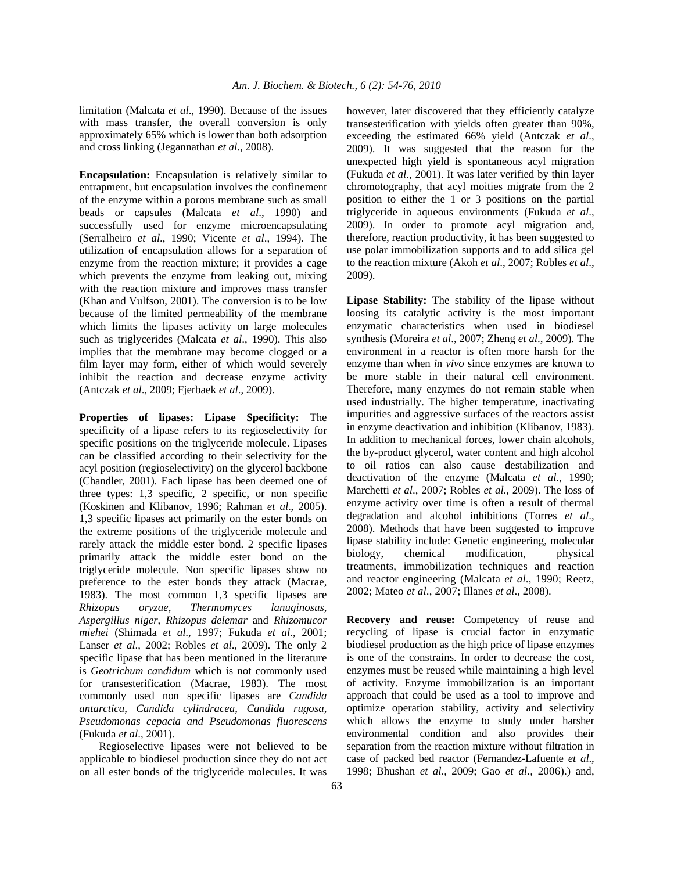limitation (Malcata *et al*., 1990). Because of the issues with mass transfer, the overall conversion is only approximately 65% which is lower than both adsorption and cross linking (Jegannathan *et al*., 2008).

**Encapsulation:** Encapsulation is relatively similar to entrapment, but encapsulation involves the confinement of the enzyme within a porous membrane such as small beads or capsules (Malcata *et al*., 1990) and successfully used for enzyme microencapsulating (Serralheiro *et al*., 1990; Vicente *et al*., 1994). The utilization of encapsulation allows for a separation of enzyme from the reaction mixture; it provides a cage which prevents the enzyme from leaking out, mixing with the reaction mixture and improves mass transfer (Khan and Vulfson, 2001). The conversion is to be low because of the limited permeability of the membrane which limits the lipases activity on large molecules such as triglycerides (Malcata *et al*., 1990). This also implies that the membrane may become clogged or a film layer may form, either of which would severely inhibit the reaction and decrease enzyme activity (Antczak *et al*., 2009; Fjerbaek *et al*., 2009).

**Properties of lipases: Lipase Specificity:** The specificity of a lipase refers to its regioselectivity for specific positions on the triglyceride molecule. Lipases can be classified according to their selectivity for the acyl position (regioselectivity) on the glycerol backbone (Chandler, 2001). Each lipase has been deemed one of three types: 1,3 specific, 2 specific, or non specific (Koskinen and Klibanov, 1996; Rahman *et al*., 2005). 1,3 specific lipases act primarily on the ester bonds on the extreme positions of the triglyceride molecule and rarely attack the middle ester bond. 2 specific lipases primarily attack the middle ester bond on the triglyceride molecule. Non specific lipases show no preference to the ester bonds they attack (Macrae, 1983). The most common 1,3 specific lipases are *Rhizopus oryzae*, *Thermomyces lanuginosus*, *Aspergillus niger*, *Rhizopus delemar* and *Rhizomucor miehei* (Shimada *et al*., 1997; Fukuda *et al*., 2001; Lanser *et al*., 2002; Robles *et al*., 2009). The only 2 specific lipase that has been mentioned in the literature is *Geotrichum ca*n*didum* which is not commonly used for transesterification (Macrae, 1983). The most commonly used non specific lipases are *Candida antarctica*, *Candida cylindracea*, *Candida rugosa*, *Pseudomonas cepacia and Pseudomonas fluorescens*  (Fukuda *et al*., 2001).

 Regioselective lipases were not believed to be applicable to biodiesel production since they do not act on all ester bonds of the triglyceride molecules. It was however, later discovered that they efficiently catalyze transesterification with yields often greater than 90%, exceeding the estimated 66% yield (Antczak *et al*., 2009). It was suggested that the reason for the unexpected high yield is spontaneous acyl migration (Fukuda *et al*., 2001). It was later verified by thin layer chromotography, that acyl moities migrate from the 2 position to either the 1 or 3 positions on the partial triglyceride in aqueous environments (Fukuda *et al*., 2009). In order to promote acyl migration and, therefore, reaction productivity, it has been suggested to use polar immobilization supports and to add silica gel to the reaction mixture (Akoh *et al*., 2007; Robles *et al*., 2009).

**Lipase Stability:** The stability of the lipase without loosing its catalytic activity is the most important enzymatic characteristics when used in biodiesel synthesis (Moreira *et al*., 2007; Zheng *et al*., 2009). The environment in a reactor is often more harsh for the enzyme than when *i*n *vivo* since enzymes are known to be more stable in their natural cell environment. Therefore, many enzymes do not remain stable when used industrially. The higher temperature, inactivating impurities and aggressive surfaces of the reactors assist in enzyme deactivation and inhibition (Klibanov, 1983). In addition to mechanical forces, lower chain alcohols, the by-product glycerol, water content and high alcohol to oil ratios can also cause destabilization and deactivation of the enzyme (Malcata *et al*., 1990; Marchetti *et al*., 2007; Robles *et al*., 2009). The loss of enzyme activity over time is often a result of thermal degradation and alcohol inhibitions (Torres *et al*., 2008). Methods that have been suggested to improve lipase stability include: Genetic engineering, molecular biology, chemical modification, physical treatments, immobilization techniques and reaction and reactor engineering (Malcata *et al*., 1990; Reetz, 2002; Mateo *et al*., 2007; Illanes *et al*., 2008).

**Recovery and reuse:** Competency of reuse and recycling of lipase is crucial factor in enzymatic biodiesel production as the high price of lipase enzymes is one of the constrains. In order to decrease the cost, enzymes must be reused while maintaining a high level of activity. Enzyme immobilization is an important approach that could be used as a tool to improve and optimize operation stability, activity and selectivity which allows the enzyme to study under harsher environmental condition and also provides their separation from the reaction mixture without filtration in case of packed bed reactor (Fernandez-Lafuente *et al*., 1998; Bhushan *et al*., 2009; Gao *et al.,* 2006).) and,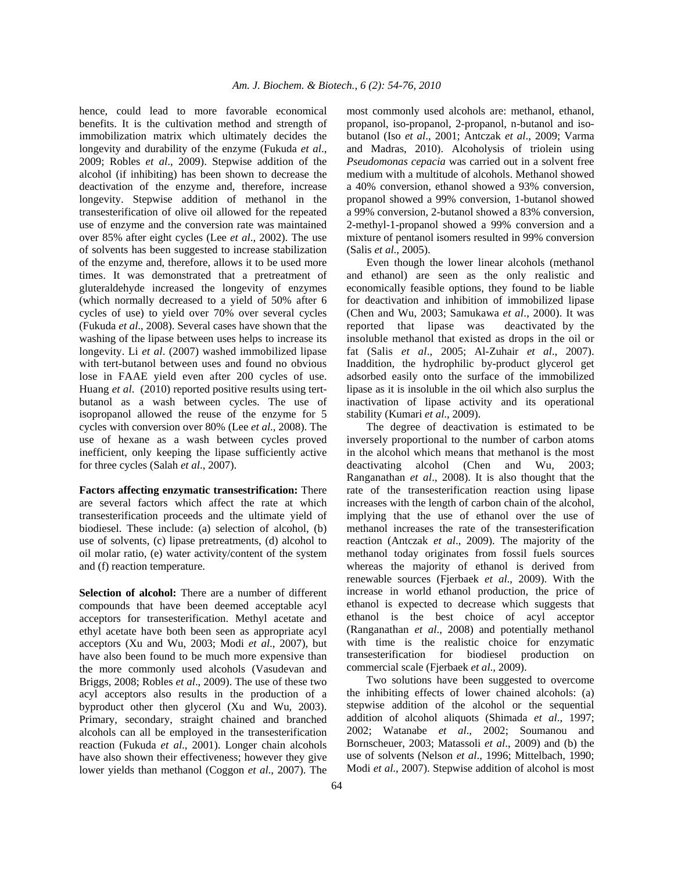hence, could lead to more favorable economical benefits. It is the cultivation method and strength of immobilization matrix which ultimately decides the longevity and durability of the enzyme (Fukuda *et al*., 2009; Robles *et al*., 2009). Stepwise addition of the alcohol (if inhibiting) has been shown to decrease the deactivation of the enzyme and, therefore, increase longevity. Stepwise addition of methanol in the transesterification of olive oil allowed for the repeated use of enzyme and the conversion rate was maintained over 85% after eight cycles (Lee *et al*., 2002). The use of solvents has been suggested to increase stabilization of the enzyme and, therefore, allows it to be used more times. It was demonstrated that a pretreatment of gluteraldehyde increased the longevity of enzymes (which normally decreased to a yield of 50% after 6 cycles of use) to yield over 70% over several cycles (Fukuda *et al*., 2008). Several cases have shown that the washing of the lipase between uses helps to increase its longevity. Li *et al*. (2007) washed immobilized lipase with tert-butanol between uses and found no obvious lose in FAAE yield even after 200 cycles of use. Huang *et al*. (2010) reported positive results using tertbutanol as a wash between cycles. The use of isopropanol allowed the reuse of the enzyme for 5 cycles with conversion over 80% (Lee *et al*., 2008). The use of hexane as a wash between cycles proved inefficient, only keeping the lipase sufficiently active for three cycles (Salah *et al*., 2007).

**Factors affecting enzymatic transestrification:** There are several factors which affect the rate at which transesterification proceeds and the ultimate yield of biodiesel. These include: (a) selection of alcohol, (b) use of solvents, (c) lipase pretreatments, (d) alcohol to oil molar ratio, (e) water activity/content of the system and (f) reaction temperature.

**Selection of alcohol:** There are a number of different compounds that have been deemed acceptable acyl acceptors for transesterification. Methyl acetate and ethyl acetate have both been seen as appropriate acyl acceptors (Xu and Wu, 2003; Modi *et al*., 2007), but have also been found to be much more expensive than the more commonly used alcohols (Vasudevan and Briggs, 2008; Robles *et al*., 2009). The use of these two acyl acceptors also results in the production of a byproduct other then glycerol (Xu and Wu, 2003). Primary, secondary, straight chained and branched alcohols can all be employed in the transesterification reaction (Fukuda *et al*., 2001). Longer chain alcohols have also shown their effectiveness; however they give lower yields than methanol (Coggon *et al*., 2007). The

most commonly used alcohols are: methanol, ethanol, propanol, iso-propanol, 2-propanol, n-butanol and isobutanol (Iso *et al*., 2001; Antczak *et al*., 2009; Varma and Madras, 2010). Alcoholysis of triolein using *Pseudomonas cepacia* was carried out in a solvent free medium with a multitude of alcohols. Methanol showed a 40% conversion, ethanol showed a 93% conversion, propanol showed a 99% conversion, 1-butanol showed a 99% conversion, 2-butanol showed a 83% conversion, 2-methyl-1-propanol showed a 99% conversion and a mixture of pentanol isomers resulted in 99% conversion (Salis *et al*., 2005).

 Even though the lower linear alcohols (methanol and ethanol) are seen as the only realistic and economically feasible options, they found to be liable for deactivation and inhibition of immobilized lipase (Chen and Wu, 2003; Samukawa *et al*., 2000). It was reported that lipase was deactivated by the insoluble methanol that existed as drops in the oil or fat (Salis *et al*., 2005; Al-Zuhair *et al*., 2007). Inaddition, the hydrophilic by-product glycerol get adsorbed easily onto the surface of the immobilized lipase as it is insoluble in the oil which also surplus the inactivation of lipase activity and its operational stability (Kumari *et al*., 2009).

 The degree of deactivation is estimated to be inversely proportional to the number of carbon atoms in the alcohol which means that methanol is the most deactivating alcohol (Chen and Wu, 2003; Ranganathan *et al*., 2008). It is also thought that the rate of the transesterification reaction using lipase increases with the length of carbon chain of the alcohol, implying that the use of ethanol over the use of methanol increases the rate of the transesterification reaction (Antczak *et al*., 2009). The majority of the methanol today originates from fossil fuels sources whereas the majority of ethanol is derived from renewable sources (Fjerbaek *et al*., 2009). With the increase in world ethanol production, the price of ethanol is expected to decrease which suggests that ethanol is the best choice of acyl acceptor (Ranganathan *et al*., 2008) and potentially methanol with time is the realistic choice for enzymatic transesterification for biodiesel production on commercial scale (Fjerbaek *et al*., 2009).

 Two solutions have been suggested to overcome the inhibiting effects of lower chained alcohols: (a) stepwise addition of the alcohol or the sequential addition of alcohol aliquots (Shimada *et al*., 1997; 2002; Watanabe *et al*., 2002; Soumanou and Bornscheuer, 2003; Matassoli *et al*., 2009) and (b) the use of solvents (Nelson *et al*., 1996; Mittelbach, 1990; Modi *et al*., 2007). Stepwise addition of alcohol is most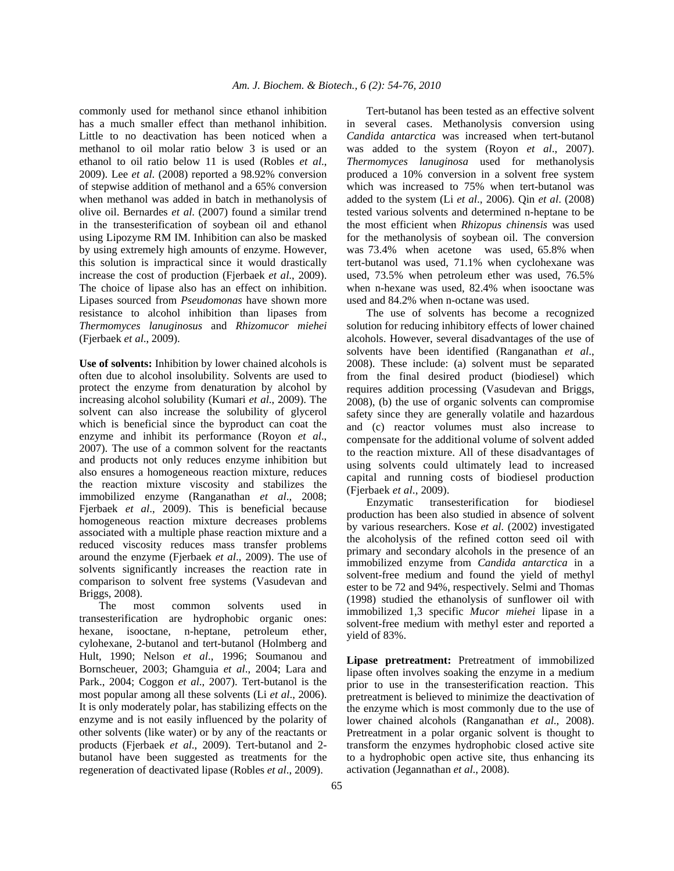commonly used for methanol since ethanol inhibition has a much smaller effect than methanol inhibition. Little to no deactivation has been noticed when a methanol to oil molar ratio below 3 is used or an ethanol to oil ratio below 11 is used (Robles *et al*., 2009). Lee *et al*. (2008) reported a 98.92% conversion of stepwise addition of methanol and a 65% conversion when methanol was added in batch in methanolysis of olive oil. Bernardes *et al*. (2007) found a similar trend in the transesterification of soybean oil and ethanol using Lipozyme RM IM. Inhibition can also be masked by using extremely high amounts of enzyme. However, this solution is impractical since it would drastically increase the cost of production (Fjerbaek *et al*., 2009). The choice of lipase also has an effect on inhibition. Lipases sourced from *Pseudomonas* have shown more resistance to alcohol inhibition than lipases from *Thermomyces lanuginosus* and *Rhizomucor miehei*  (Fjerbaek *et al*., 2009).

**Use of solvents:** Inhibition by lower chained alcohols is often due to alcohol insolubility. Solvents are used to protect the enzyme from denaturation by alcohol by increasing alcohol solubility (Kumari *et al*., 2009). The solvent can also increase the solubility of glycerol which is beneficial since the byproduct can coat the enzyme and inhibit its performance (Royon *et al*., 2007). The use of a common solvent for the reactants and products not only reduces enzyme inhibition but also ensures a homogeneous reaction mixture, reduces the reaction mixture viscosity and stabilizes the immobilized enzyme (Ranganathan *et al*., 2008; Fjerbaek *et al*., 2009). This is beneficial because homogeneous reaction mixture decreases problems associated with a multiple phase reaction mixture and a reduced viscosity reduces mass transfer problems around the enzyme (Fjerbaek *et al*., 2009). The use of solvents significantly increases the reaction rate in comparison to solvent free systems (Vasudevan and Briggs, 2008).

 The most common solvents used in transesterification are hydrophobic organic ones: hexane, isooctane, n-heptane, petroleum ether, cylohexane, 2-butanol and tert-butanol (Holmberg and Hult, 1990; Nelson *et al*., 1996; Soumanou and Bornscheuer, 2003; Ghamguia *et al*., 2004; Lara and Park., 2004; Coggon *et al*., 2007). Tert-butanol is the most popular among all these solvents (Li *et al*., 2006). It is only moderately polar, has stabilizing effects on the enzyme and is not easily influenced by the polarity of other solvents (like water) or by any of the reactants or products (Fjerbaek *et al*., 2009). Tert-butanol and 2 butanol have been suggested as treatments for the regeneration of deactivated lipase (Robles *et al*., 2009).

Tert-butanol has been tested as an effective solvent in several cases. Methanolysis conversion using *Candida antarctica* was increased when tert-butanol was added to the system (Royon *et al*., 2007). *Thermomyces lanuginosa* used for methanolysis produced a 10% conversion in a solvent free system which was increased to 75% when tert-butanol was added to the system (Li *et al*., 2006). Qin *et al*. (2008) tested various solvents and determined n-heptane to be the most efficient when *Rhizopus chinensis* was used for the methanolysis of soybean oil. The conversion was 73.4% when acetone was used, 65.8% when tert-butanol was used, 71.1% when cyclohexane was used, 73.5% when petroleum ether was used, 76.5% when n-hexane was used, 82.4% when isooctane was used and 84.2% when n-octane was used.

 The use of solvents has become a recognized solution for reducing inhibitory effects of lower chained alcohols. However, several disadvantages of the use of solvents have been identified (Ranganathan *et al*., 2008). These include: (a) solvent must be separated from the final desired product (biodiesel) which requires addition processing (Vasudevan and Briggs, 2008), (b) the use of organic solvents can compromise safety since they are generally volatile and hazardous and (c) reactor volumes must also increase to compensate for the additional volume of solvent added to the reaction mixture. All of these disadvantages of using solvents could ultimately lead to increased capital and running costs of biodiesel production (Fjerbaek *et al*., 2009).

 Enzymatic transesterification for biodiesel production has been also studied in absence of solvent by various researchers. Kose *et al*. (2002) investigated the alcoholysis of the refined cotton seed oil with primary and secondary alcohols in the presence of an immobilized enzyme from *Candida antarctica* in a solvent-free medium and found the yield of methyl ester to be 72 and 94%, respectively. Selmi and Thomas (1998) studied the ethanolysis of sunflower oil with immobilized 1,3 specific *Mucor miehei* lipase in a solvent-free medium with methyl ester and reported a yield of 83%.

**Lipase pretreatment:** Pretreatment of immobilized lipase often involves soaking the enzyme in a medium prior to use in the transesterification reaction. This pretreatment is believed to minimize the deactivation of the enzyme which is most commonly due to the use of lower chained alcohols (Ranganathan *et al*., 2008). Pretreatment in a polar organic solvent is thought to transform the enzymes hydrophobic closed active site to a hydrophobic open active site, thus enhancing its activation (Jegannathan *et al*., 2008).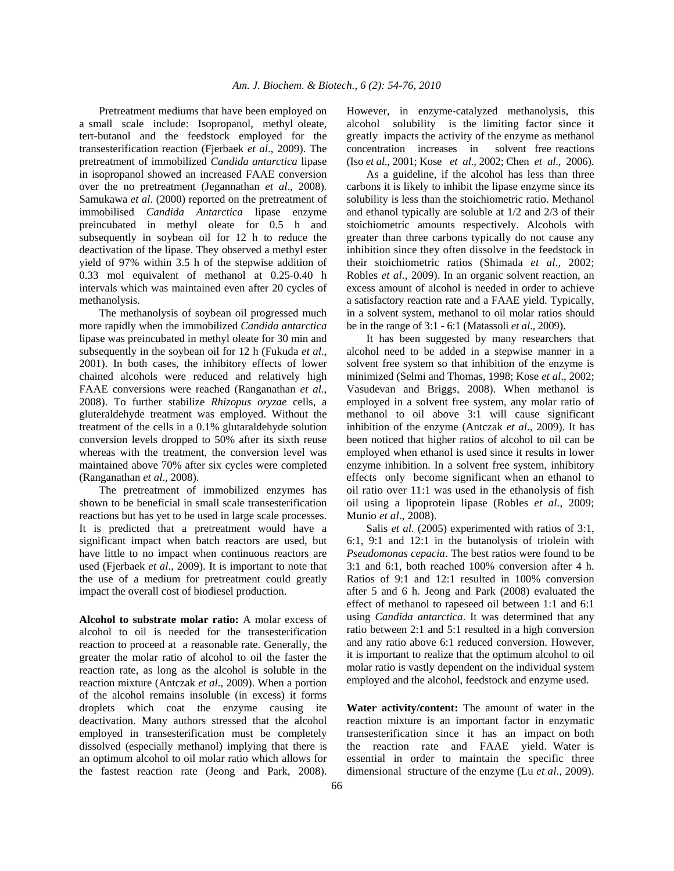Pretreatment mediums that have been employed on a small scale include: Isopropanol, methyl oleate, tert-butanol and the feedstock employed for the transesterification reaction (Fjerbaek *et al*., 2009). The pretreatment of immobilized *Candida antarctica* lipase in isopropanol showed an increased FAAE conversion over the no pretreatment (Jegannathan *et al*., 2008). Samukawa *et al*. (2000) reported on the pretreatment of immobilised *Candida Antarctica* lipase enzyme preincubated in methyl oleate for 0.5 h and subsequently in soybean oil for 12 h to reduce the deactivation of the lipase. They observed a methyl ester yield of 97% within 3.5 h of the stepwise addition of 0.33 mol equivalent of methanol at 0.25-0.40 h intervals which was maintained even after 20 cycles of methanolysis.

 The methanolysis of soybean oil progressed much more rapidly when the immobilized *Candida antarctica*  lipase was preincubated in methyl oleate for 30 min and subsequently in the soybean oil for 12 h (Fukuda *et al*., 2001). In both cases, the inhibitory effects of lower chained alcohols were reduced and relatively high FAAE conversions were reached (Ranganathan *et al*., 2008). To further stabilize *Rhizopus oryzae* cells, a gluteraldehyde treatment was employed. Without the treatment of the cells in a 0.1% glutaraldehyde solution conversion levels dropped to 50% after its sixth reuse whereas with the treatment, the conversion level was maintained above 70% after six cycles were completed (Ranganathan *et al*., 2008).

 The pretreatment of immobilized enzymes has shown to be beneficial in small scale transesterification reactions but has yet to be used in large scale processes. It is predicted that a pretreatment would have a significant impact when batch reactors are used, but have little to no impact when continuous reactors are used (Fjerbaek *et al*., 2009). It is important to note that the use of a medium for pretreatment could greatly impact the overall cost of biodiesel production.

**Alcohol to substrate molar ratio:** A molar excess of alcohol to oil is needed for the transesterification reaction to proceed at a reasonable rate. Generally, the greater the molar ratio of alcohol to oil the faster the reaction rate, as long as the alcohol is soluble in the reaction mixture (Antczak *et al*., 2009). When a portion of the alcohol remains insoluble (in excess) it forms droplets which coat the enzyme causing ite deactivation. Many authors stressed that the alcohol employed in transesterification must be completely dissolved (especially methanol) implying that there is an optimum alcohol to oil molar ratio which allows for the fastest reaction rate (Jeong and Park, 2008). However, in enzyme-catalyzed methanolysis, this alcohol solubility is the limiting factor since it greatly impacts the activity of the enzyme as methanol concentration increases in solvent free reactions (Iso *et al*., 2001; Kose *et al*., 2002; Chen *et al*., 2006).

 As a guideline, if the alcohol has less than three carbons it is likely to inhibit the lipase enzyme since its solubility is less than the stoichiometric ratio. Methanol and ethanol typically are soluble at 1/2 and 2/3 of their stoichiometric amounts respectively. Alcohols with greater than three carbons typically do not cause any inhibition since they often dissolve in the feedstock in their stoichiometric ratios (Shimada *et al*., 2002; Robles *et al*., 2009). In an organic solvent reaction, an excess amount of alcohol is needed in order to achieve a satisfactory reaction rate and a FAAE yield. Typically, in a solvent system, methanol to oil molar ratios should be in the range of 3:1 - 6:1 (Matassoli *et al*., 2009).

 It has been suggested by many researchers that alcohol need to be added in a stepwise manner in a solvent free system so that inhibition of the enzyme is minimized (Selmi and Thomas, 1998; Kose *et al*., 2002; Vasudevan and Briggs, 2008). When methanol is employed in a solvent free system, any molar ratio of methanol to oil above 3:1 will cause significant inhibition of the enzyme (Antczak *et al*., 2009). It has been noticed that higher ratios of alcohol to oil can be employed when ethanol is used since it results in lower enzyme inhibition. In a solvent free system, inhibitory effects only become significant when an ethanol to oil ratio over 11:1 was used in the ethanolysis of fish oil using a lipoprotein lipase (Robles *et al*., 2009; Munio *et al*., 2008).

 Salis *et al*. (2005) experimented with ratios of 3:1, 6:1, 9:1 and 12:1 in the butanolysis of triolein with *Pseudomonas cepacia*. The best ratios were found to be 3:1 and 6:1, both reached 100% conversion after 4 h. Ratios of 9:1 and 12:1 resulted in 100% conversion after 5 and 6 h. Jeong and Park (2008) evaluated the effect of methanol to rapeseed oil between 1:1 and 6:1 using *Candida antarctica*. It was determined that any ratio between 2:1 and 5:1 resulted in a high conversion and any ratio above 6:1 reduced conversion. However, it is important to realize that the optimum alcohol to oil molar ratio is vastly dependent on the individual system employed and the alcohol, feedstock and enzyme used.

**Water activity/content:** The amount of water in the reaction mixture is an important factor in enzymatic transesterification since it has an impact on both the reaction rate and FAAE yield. Water is essential in order to maintain the specific three dimensional structure of the enzyme (Lu *et al*., 2009).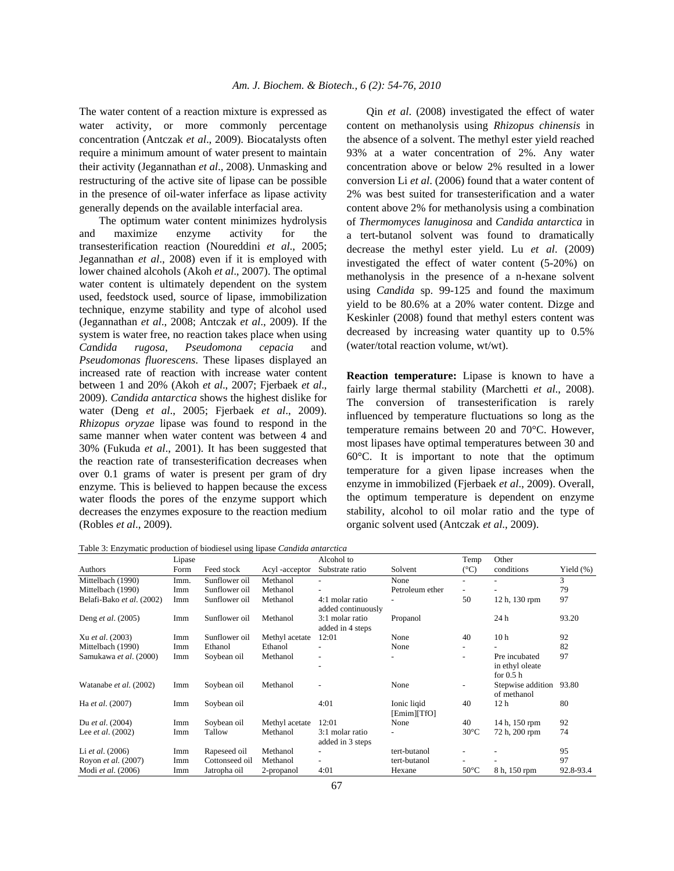The water content of a reaction mixture is expressed as water activity, or more commonly percentage concentration (Antczak *et al*., 2009). Biocatalysts often require a minimum amount of water present to maintain their activity (Jegannathan *et al*., 2008). Unmasking and restructuring of the active site of lipase can be possible in the presence of oil-water inferface as lipase activity generally depends on the available interfacial area.

 The optimum water content minimizes hydrolysis and maximize enzyme activity for the transesterification reaction (Noureddini *et al*., 2005; Jegannathan *et al*., 2008) even if it is employed with lower chained alcohols (Akoh *et al*., 2007). The optimal water content is ultimately dependent on the system used, feedstock used, source of lipase, immobilization technique, enzyme stability and type of alcohol used (Jegannathan *et al*., 2008; Antczak *et al*., 2009). If the system is water free, no reaction takes place when using *Ca*n*dida rugosa*, *Pseudomona cepacia* and *Pseudomonas fluorescens*. These lipases displayed an increased rate of reaction with increase water content between 1 and 20% (Akoh *et al*., 2007; Fjerbaek *et al*., 2009). *Ca*n*dida a*n*tarctica* shows the highest dislike for water (Deng *et al*., 2005; Fjerbaek *et al*., 2009). *Rhizopus oryzae* lipase was found to respond in the same manner when water content was between 4 and 30% (Fukuda *et al*., 2001). It has been suggested that the reaction rate of transesterification decreases when over 0.1 grams of water is present per gram of dry enzyme. This is believed to happen because the excess water floods the pores of the enzyme support which decreases the enzymes exposure to the reaction medium (Robles *et al*., 2009).

 Qin *et al*. (2008) investigated the effect of water content on methanolysis using *Rhizopus chinensis* in the absence of a solvent. The methyl ester yield reached 93% at a water concentration of 2%. Any water concentration above or below 2% resulted in a lower conversion Li *et al*. (2006) found that a water content of 2% was best suited for transesterification and a water content above 2% for methanolysis using a combination of *Thermomyces lanuginosa* and *Candida antarctica* in a tert-butanol solvent was found to dramatically decrease the methyl ester yield. Lu *et al*. (2009) investigated the effect of water content (5-20%) on methanolysis in the presence of a n-hexane solvent using *Ca*n*dida* sp. 99-125 and found the maximum yield to be 80.6% at a 20% water content. Dizge and Keskinler (2008) found that methyl esters content was decreased by increasing water quantity up to 0.5% (water/total reaction volume, wt/wt).

**Reaction temperature:** Lipase is known to have a fairly large thermal stability (Marchetti *et al*., 2008). The conversion of transesterification is rarely influenced by temperature fluctuations so long as the temperature remains between 20 and 70°C. However, most lipases have optimal temperatures between 30 and 60°C. It is important to note that the optimum temperature for a given lipase increases when the enzyme in immobilized (Fjerbaek *et al*., 2009). Overall, the optimum temperature is dependent on enzyme stability, alcohol to oil molar ratio and the type of organic solvent used (Antczak *et al*., 2009).

| Table 3: Enzymatic production of biodiesel using lipase Candida antarctica |  |  |  |  |  |
|----------------------------------------------------------------------------|--|--|--|--|--|
|----------------------------------------------------------------------------|--|--|--|--|--|

|                           | Lipase |                |                | Alcohol to                            |                            | Temp                     | Other                                          |              |
|---------------------------|--------|----------------|----------------|---------------------------------------|----------------------------|--------------------------|------------------------------------------------|--------------|
| Authors                   | Form   | Feed stock     | Acyl -acceptor | Substrate ratio                       | Solvent                    | $(^{\circ}C)$            | conditions                                     | Yield $(\%)$ |
| Mittelbach (1990)         | Imm.   | Sunflower oil  | Methanol       |                                       | None                       |                          |                                                | 3            |
| Mittelbach (1990)         | Imm    | Sunflower oil  | Methanol       |                                       | Petroleum ether            | $\overline{\phantom{a}}$ |                                                | 79           |
| Belafi-Bako et al. (2002) | Imm    | Sunflower oil  | Methanol       | 4:1 molar ratio<br>added continuously |                            | 50                       | 12 h, 130 rpm                                  | 97           |
| Deng et al. (2005)        | Imm    | Sunflower oil  | Methanol       | 3:1 molar ratio<br>added in 4 steps   | Propanol                   |                          | 24 h                                           | 93.20        |
| Xu et al. (2003)          | Imm    | Sunflower oil  | Methyl acetate | 12:01                                 | None                       | 40                       | 10 <sub>h</sub>                                | 92           |
| Mittelbach (1990)         | Imm    | Ethanol        | Ethanol        |                                       | None                       | $\overline{\phantom{a}}$ |                                                | 82           |
| Samukawa et al. (2000)    | Imm    | Soybean oil    | Methanol       |                                       |                            |                          | Pre incubated<br>in ethyl oleate<br>for $0.5h$ | 97           |
| Watanabe et al. (2002)    | Imm    | Soybean oil    | Methanol       |                                       | None                       | $\overline{\phantom{a}}$ | Stepwise addition<br>of methanol               | 93.80        |
| Ha et al. (2007)          | Imm    | Soybean oil    |                | 4:01                                  | Ionic ligid<br>[Emim][TfO] | 40                       | 12 <sub>h</sub>                                | 80           |
| Du et al. (2004)          | Imm    | Soybean oil    | Methyl acetate | 12:01                                 | None                       | 40                       | 14 h, 150 rpm                                  | 92           |
| Lee et al. (2002)         | Imm    | Tallow         | Methanol       | 3:1 molar ratio<br>added in 3 steps   | $\overline{\phantom{a}}$   | $30^{\circ}$ C           | 72 h, 200 rpm                                  | 74           |
| Li <i>et al.</i> $(2006)$ | Imm    | Rapeseed oil   | Methanol       |                                       | tert-butanol               |                          |                                                | 95           |
| Royon et al. (2007)       | Imm    | Cottonseed oil | Methanol       |                                       | tert-butanol               |                          |                                                | 97           |
| Modi et al. (2006)        | Imm    | Jatropha oil   | 2-propanol     | 4:01                                  | Hexane                     | $50^{\circ}$ C           | 8 h, 150 rpm                                   | 92.8-93.4    |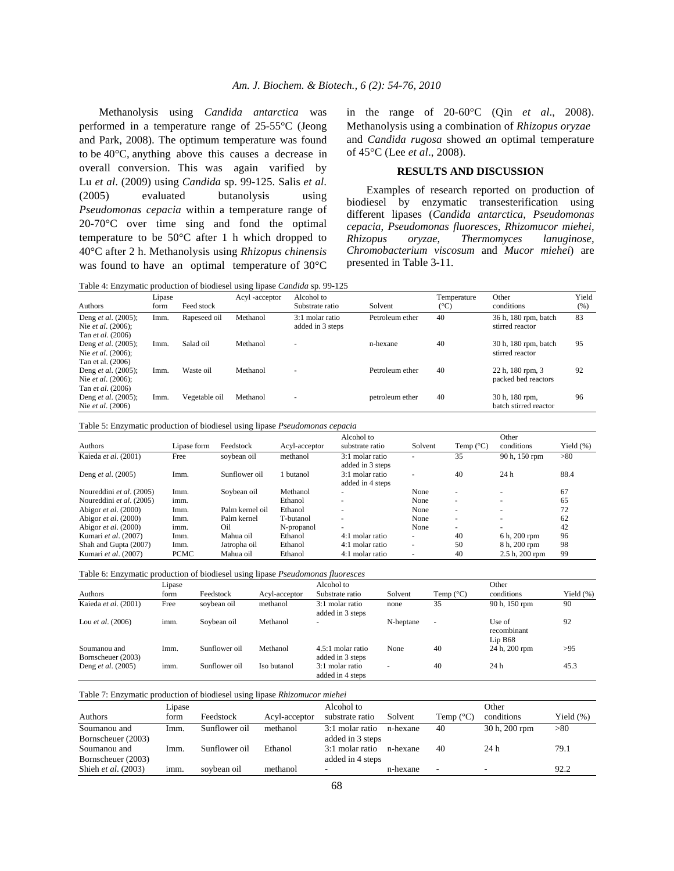Methanolysis using *Candida antarctica* was performed in a temperature range of 25-55°C (Jeong and Park, 2008). The optimum temperature was found to be 40°C, anything above this causes a decrease in overall conversion. This was again varified by Lu *et al*. (2009) using *Candida* sp. 99-125. Salis *et al*. (2005) evaluated butanolysis using *Pseudomonas cepacia* within a temperature range of 20-70°C over time sing and fond the optimal temperature to be 50°C after 1 h which dropped to 40°C after 2 h. Methanolysis using *Rhizopus chinensis*  was found to have an optimal temperature of 30°C

in the range of 20-60°C (Qin *et al*., 2008). Methanolysis using a combination of *Rhizopus oryzae* and *Candida rugosa* showed *a*n optimal temperature of 45°C (Lee *et al*., 2008).

## **RESULTS AND DISCUSSION**

 Examples of research reported on production of biodiesel by enzymatic transesterification using different lipases (*Candida antarctica*, *Pseudomonas cepacia*, *Pseudomonas fluoresces*, *Rhizomucor miehei*, *Rhizopus oryzae*, *Thermomyces lanuginose*, *Chromobacterium viscosum* and *Mucor miehei*) are presented in Table 3-11.

Table 4: Enzymatic production of biodiesel using lipase *Ca*n*dida* sp. 99-125

| Authors                                                              | Lipase<br>form | Feed stock    | Acyl -acceptor | Alcohol to<br>Substrate ratio       | Solvent         | Temperature<br>$(^\circ C)$ | Other<br>conditions                     | Yield<br>(% ) |
|----------------------------------------------------------------------|----------------|---------------|----------------|-------------------------------------|-----------------|-----------------------------|-----------------------------------------|---------------|
| Deng et al. (2005);<br>Nie et al. (2006);<br>Tan et al. (2006)       | Imm.           | Rapeseed oil  | Methanol       | 3:1 molar ratio<br>added in 3 steps | Petroleum ether | 40                          | 36 h, 180 rpm, batch<br>stirred reactor | 83            |
| Deng et al. (2005);<br>Nie et al. (2006);                            | Imm.           | Salad oil     | Methanol       | ۰                                   | n-hexane        | 40                          | 30 h, 180 rpm, batch<br>stirred reactor | 95            |
| Tan et al. (2006)<br>Deng et al. (2005);<br>Nie et al. (2006);       | Imm.           | Waste oil     | Methanol       | $\sim$                              | Petroleum ether | 40                          | 22 h, 180 rpm, 3<br>packed bed reactors | 92            |
| Tan <i>et al.</i> (2006)<br>Deng et al. (2005);<br>Nie et al. (2006) | Imm.           | Vegetable oil | Methanol       | ۰                                   | petroleum ether | 40                          | 30 h, 180 rpm,<br>batch stirred reactor | 96            |

Table 5: Enzymatic production of biodiesel using lipase *Pseudomonas cepacia*

|                          |             |                 |               | Alcohol to                          |                          |                          | Other                    |               |
|--------------------------|-------------|-----------------|---------------|-------------------------------------|--------------------------|--------------------------|--------------------------|---------------|
| Authors                  | Lipase form | Feedstock       | Acyl-acceptor | substrate ratio                     | Solvent                  | Temp $(^{\circ}C)$       | conditions               | Yield $(\% )$ |
| Kaieda et al. (2001)     | Free        | sovbean oil     | methanol      | 3:1 molar ratio<br>added in 3 steps | ۰                        | 35                       | 90 h, 150 rpm            | > 80          |
| Deng et al. (2005)       | Imm.        | Sunflower oil   | butanol       | 3:1 molar ratio<br>added in 4 steps | ۰                        | 40                       | 24h                      | 88.4          |
| Noureddini et al. (2005) | Imm.        | Sovbean oil     | Methanol      |                                     | None                     | $\overline{a}$           | $\overline{\phantom{a}}$ | 67            |
| Noureddini et al. (2005) | imm.        |                 | Ethanol       |                                     | None                     | $\overline{\phantom{a}}$ | <b>.</b>                 | 65            |
| Abigor et al. (2000)     | Imm.        | Palm kernel oil | Ethanol       | -                                   | None                     | $\overline{a}$           | $\sim$                   | 72            |
| Abigor et al. (2000)     | Imm.        | Palm kernel     | T-butanol     | $\sim$                              | None                     | . —                      | $\sim$                   | 62            |
| Abigor et al. (2000)     | imm.        | Oil             | N-propanol    | $\sim$                              | None                     | <u>. .</u>               | ٠                        | 42            |
| Kumari et al. (2007)     | Imm.        | Mahua oil       | Ethanol       | 4:1 molar ratio                     | $\overline{\phantom{a}}$ | 40                       | 6 h, 200 rpm             | 96            |
| Shah and Gupta (2007)    | Imm.        | Jatropha oil    | Ethanol       | 4:1 molar ratio                     | $\overline{\phantom{a}}$ | 50                       | 8 h. 200 rpm             | 98            |
| Kumari et al. (2007)     | <b>PCMC</b> | Mahua oil       | Ethanol       | 4:1 molar ratio                     | ٠                        | 40                       | 2.5 h, 200 rpm           | 99            |

|  | Table 6: Enzymatic production of biodiesel using lipase Pseudomonas fluoresces |  |  |  |
|--|--------------------------------------------------------------------------------|--|--|--|
|  |                                                                                |  |  |  |

|                                    | Lipase |               |               | Alcohol to                            |           |                    | Other                            |              |
|------------------------------------|--------|---------------|---------------|---------------------------------------|-----------|--------------------|----------------------------------|--------------|
| Authors                            | form   | Feedstock     | Acyl-acceptor | Substrate ratio                       | Solvent   | Temp $(^{\circ}C)$ | conditions                       | Yield $(\%)$ |
| Kaieda et al. (2001)               | Free   | soybean oil   | methanol      | 3:1 molar ratio<br>added in 3 steps   | none      | 35                 | 90 h, 150 rpm                    | 90           |
| Lou <i>et al.</i> $(2006)$         | imm.   | Soybean oil   | Methanol      | $\overline{\phantom{a}}$              | N-heptane |                    | Use of<br>recombinant<br>Lip B68 | 92           |
| Soumanou and<br>Bornscheuer (2003) | Imm.   | Sunflower oil | Methanol      | 4.5:1 molar ratio<br>added in 3 steps | None      | 40                 | 24 h, 200 rpm                    | >95          |
| Deng <i>et al.</i> (2005)          | imm.   | Sunflower oil | Iso butanol   | 3:1 molar ratio<br>added in 4 steps   |           | 40                 | 24 h                             | 45.3         |

| Table 7: Enzymatic production of biodiesel using lipase Rhizomucor miehei |  |  |
|---------------------------------------------------------------------------|--|--|

|                     | Lipase |               |               | Alcohol to       |          |                    | Other         |              |
|---------------------|--------|---------------|---------------|------------------|----------|--------------------|---------------|--------------|
| Authors             | form   | Feedstock     | Acyl-acceptor | substrate ratio  | Solvent  | Temp $(^{\circ}C)$ | conditions    | Yield $(\%)$ |
| Soumanou and        | Imm.   | Sunflower oil | methanol      | 3:1 molar ratio  | n-hexane | 40                 | 30 h, 200 rpm | >80          |
| Bornscheuer (2003)  |        |               |               | added in 3 steps |          |                    |               |              |
| Soumanou and        | Imm.   | Sunflower oil | Ethanol       | 3:1 molar ratio  | n-hexane | 40                 | 24 h          | 79.1         |
| Bornscheuer (2003)  |        |               |               | added in 4 steps |          |                    |               |              |
| Shieh et al. (2003) | imm.   | soybean oil   | methanol      |                  | n-hexane | ۰.                 |               | 92.2         |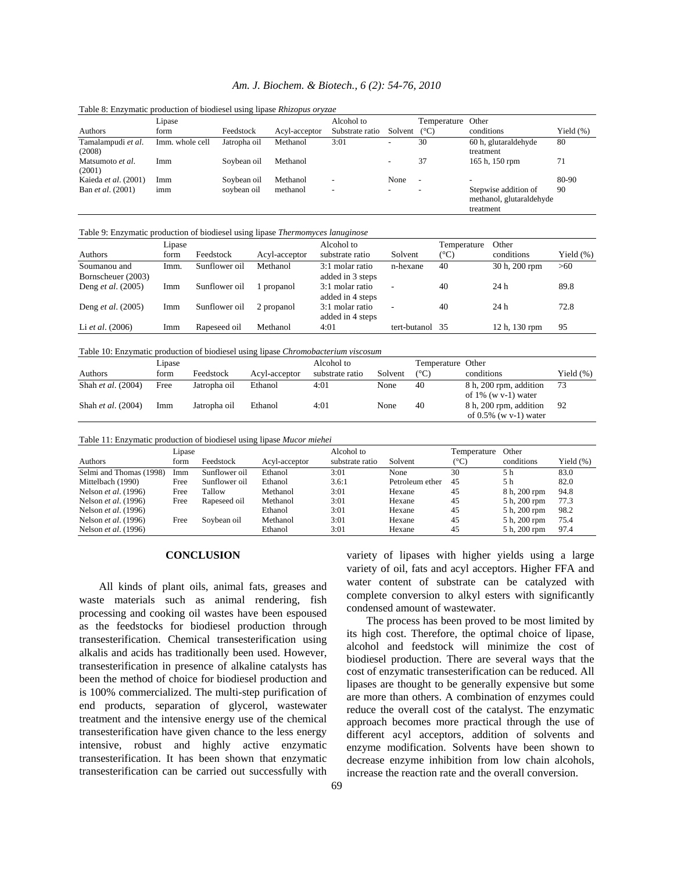## *Am. J. Biochem. & Biotech., 6 (2): 54-76, 2010*

|                              | Lipase          |              |               | Alcohol to               |         | Temperature              | Other                                                         |              |
|------------------------------|-----------------|--------------|---------------|--------------------------|---------|--------------------------|---------------------------------------------------------------|--------------|
| Authors                      | form            | Feedstock    | Acyl-acceptor | Substrate ratio          | Solvent | $(^{\circ}C)$            | conditions                                                    | Yield $(\%)$ |
| Tamalampudi et al.<br>(2008) | Imm. whole cell | Jatropha oil | Methanol      | 3:01                     | ٠       | 30                       | 60 h, glutaraldehyde<br>treatment                             | 80           |
| Matsumoto et al.<br>(2001)   | Imm             | Sovbean oil  | Methanol      |                          |         | 37                       | 165 h, 150 rpm                                                | 71           |
| Kaieda et al. (2001)         | Imm             | Soybean oil  | Methanol      | $\overline{\phantom{0}}$ | None    | $\overline{\phantom{a}}$ | $\overline{\phantom{0}}$                                      | 80-90        |
| Ban <i>et al.</i> (2001)     | imm             | soybean oil  | methanol      | $\overline{\phantom{0}}$ | -       | $\overline{\phantom{0}}$ | Stepwise addition of<br>methanol, glutaraldehyde<br>treatment | 90           |

Table 8: Enzymatic production of biodiesel using lipase *Rhizopus oryzae* 

Table 9: Enzymatic production of biodiesel using lipase *Thermomyces lanuginose* 

|                           | Lipase |               |               | Alcohol to       |                          | Temperature | Other           |              |
|---------------------------|--------|---------------|---------------|------------------|--------------------------|-------------|-----------------|--------------|
| Authors                   | form   | Feedstock     | Acyl-acceptor | substrate ratio  | Solvent                  | (°C)        | conditions      | Yield $(\%)$ |
| Soumanou and              | Imm.   | Sunflower oil | Methanol      | 3:1 molar ratio  | n-hexane                 | 40          | 30 h, 200 rpm   | >60          |
| Bornscheuer (2003)        |        |               |               | added in 3 steps |                          |             |                 |              |
| Deng <i>et al.</i> (2005) | Imm    | Sunflower oil | 1 propanol    | 3:1 molar ratio  | $\overline{\phantom{a}}$ | 40          | 24 <sub>h</sub> | 89.8         |
|                           |        |               |               | added in 4 steps |                          |             |                 |              |
| Deng <i>et al.</i> (2005) | Imm    | Sunflower oil | 2 propanol    | 3:1 molar ratio  | $\overline{\phantom{a}}$ | 40          | 24h             | 72.8         |
|                           |        |               |               | added in 4 steps |                          |             |                 |              |
| Li <i>et al.</i> $(2006)$ | Imm    | Rapeseed oil  | Methanol      | 4:01             | tert-butanol 35          |             | 12 h, 130 rpm   | 95           |

Table 10: Enzymatic production of biodiesel using lipase *Chromobacterium viscosum* 

|                    | Lipase |              |               | Alcohol to      |         | Temperature Other |                                                    |              |
|--------------------|--------|--------------|---------------|-----------------|---------|-------------------|----------------------------------------------------|--------------|
| Authors            | form   | Feedstock    | Acyl-acceptor | substrate ratio | Solvent | $(^{\circ}C)$     | conditions                                         | Yield $(\%)$ |
| Shah et al. (2004) | Free   | Jatropha oil | Ethanol       | 4:01            | None    | 40                | 8 h, 200 rpm, addition<br>of $1\%$ (w v-1) water   | 73           |
| Shah et al. (2004) | lmm    | Jatropha oil | Ethanol       | 4:01            | None    | 40                | 8 h, 200 rpm, addition<br>of $0.5\%$ (w v-1) water | 92           |

| Table 11: Enzymatic production of biodiesel using lipase Mucor miehei |  |  |  |  |  |
|-----------------------------------------------------------------------|--|--|--|--|--|
|-----------------------------------------------------------------------|--|--|--|--|--|

|                         | Lipase |               |               | Alcohol to      |                 | Temperature | Other        |              |
|-------------------------|--------|---------------|---------------|-----------------|-----------------|-------------|--------------|--------------|
| Authors                 | form   | Feedstock     | Acyl-acceptor | substrate ratio | Solvent         | (°C)        | conditions   | Yield $(\%)$ |
| Selmi and Thomas (1998) | lmm    | Sunflower oil | Ethanol       | 3:01            | None            | 30          | 5 h          | 83.0         |
| Mittelbach (1990)       | Free   | Sunflower oil | Ethanol       | 3.6:1           | Petroleum ether | 45          | 5 h          | 82.0         |
| Nelson et al. (1996)    | Free   | Tallow        | Methanol      | 3:01            | Hexane          | 45          | 8 h, 200 rpm | 94.8         |
| Nelson et al. (1996)    | Free   | Rapeseed oil  | Methanol      | 3:01            | Hexane          | 45          | 5 h, 200 rpm | 77.3         |
| Nelson et al. (1996)    |        |               | Ethanol       | 3:01            | Hexane          | 45          | 5 h, 200 rpm | 98.2         |
| Nelson et al. (1996)    | Free   | Soybean oil   | Methanol      | 3:01            | Hexane          | 45          | 5 h, 200 rpm | 75.4         |
| Nelson et al. (1996)    |        |               | Ethanol       | 3:01            | Hexane          | 45          | 5 h, 200 rpm | 97.4         |

### **CONCLUSION**

 All kinds of plant oils, animal fats, greases and waste materials such as animal rendering, fish processing and cooking oil wastes have been espoused as the feedstocks for biodiesel production through transesterification. Chemical transesterification using alkalis and acids has traditionally been used. However, transesterification in presence of alkaline catalysts has been the method of choice for biodiesel production and is 100% commercialized. The multi-step purification of end products, separation of glycerol, wastewater treatment and the intensive energy use of the chemical transesterification have given chance to the less energy intensive, robust and highly active enzymatic transesterification. It has been shown that enzymatic transesterification can be carried out successfully with variety of lipases with higher yields using a large variety of oil, fats and acyl acceptors. Higher FFA and water content of substrate can be catalyzed with complete conversion to alkyl esters with significantly condensed amount of wastewater.

 The process has been proved to be most limited by its high cost. Therefore, the optimal choice of lipase, alcohol and feedstock will minimize the cost of biodiesel production. There are several ways that the cost of enzymatic transesterification can be reduced. All lipases are thought to be generally expensive but some are more than others. A combination of enzymes could reduce the overall cost of the catalyst. The enzymatic approach becomes more practical through the use of different acyl acceptors, addition of solvents and enzyme modification. Solvents have been shown to decrease enzyme inhibition from low chain alcohols, increase the reaction rate and the overall conversion.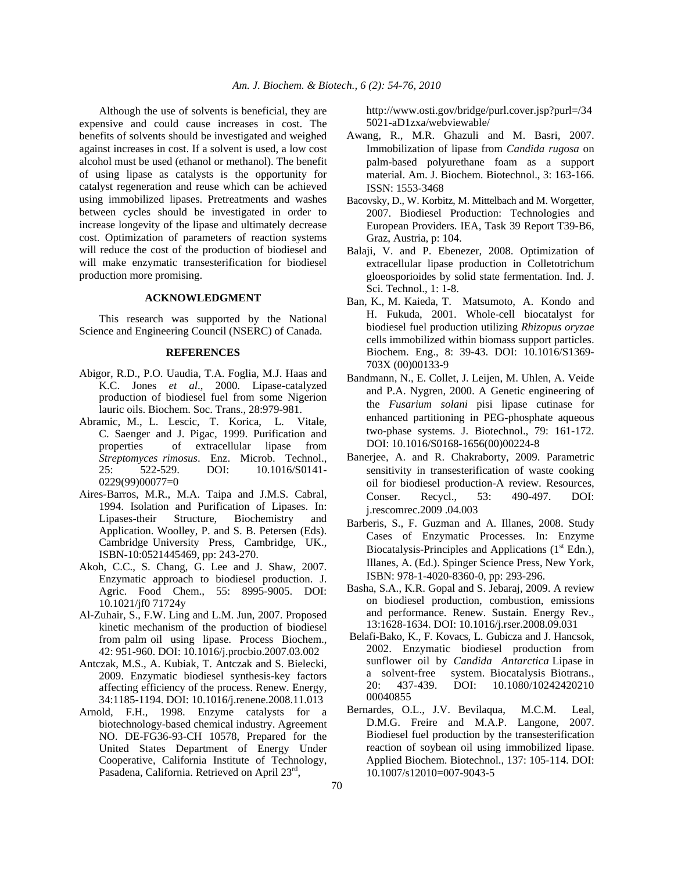Although the use of solvents is beneficial, they are expensive and could cause increases in cost. The benefits of solvents should be investigated and weighed against increases in cost. If a solvent is used, a low cost alcohol must be used (ethanol or methanol). The benefit of using lipase as catalysts is the opportunity for catalyst regeneration and reuse which can be achieved using immobilized lipases. Pretreatments and washes between cycles should be investigated in order to increase longevity of the lipase and ultimately decrease cost. Optimization of parameters of reaction systems will reduce the cost of the production of biodiesel and will make enzymatic transesterification for biodiesel production more promising.

### **ACKNOWLEDGMENT**

 This research was supported by the National Science and Engineering Council (NSERC) of Canada.

## **REFERENCES**

- Abigor, R.D., P.O. Uaudia, T.A. Foglia, M.J. Haas and K.C. Jones *et al*., 2000. Lipase-catalyzed production of biodiesel fuel from some Nigerion lauric oils. Biochem. Soc. Trans., 28:979-981.
- Abramic, M., L. Lescic, T. Korica, L. Vitale, C. Saenger and J. Pigac, 1999. Purification and properties of extracellular lipase from *Streptomyces rimosus*. Enz. Microb. Technol., 25: 522-529. DOI: 10.1016/S0141- 0229(99)00077=0
- Aires-Barros, M.R., M.A. Taipa and J.M.S. Cabral, 1994. Isolation and Purification of Lipases. In: Lipases-their Structure, Biochemistry and Application. Woolley, P. and S. B. Petersen (Eds). Cambridge University Press, Cambridge, UK., ISBN-10:0521445469, pp: 243-270.
- Akoh, C.C., S. Chang, G. Lee and J. Shaw, 2007. Enzymatic approach to biodiesel production. J. Agric. Food Chem., 55: 8995-9005. DOI: 10.1021/jf0 71724y
- Al-Zuhair, S., F.W. Ling and L.M. Jun, 2007. Proposed kinetic mechanism of the production of biodiesel from palm oil using lipase. Process Biochem., 42: 951-960. DOI: 10.1016/j.procbio.2007.03.002
- Antczak, M.S., A. Kubiak, T. Antczak and S. Bielecki, 2009. Enzymatic biodiesel synthesis-key factors affecting efficiency of the process. Renew. Energy, 34:1185-1194. DOI: 10.1016/j.renene.2008.11.013
- Arnold, F.H., 1998. Enzyme catalysts for a biotechnology-based chemical industry. Agreement NO. DE-FG36-93-CH 10578, Prepared for the United States Department of Energy Under Cooperative, California Institute of Technology, Pasadena, California. Retrieved on April 23rd,

 http://www.osti.gov/bridge/purl.cover.jsp?purl=/34 5021-aD1zxa/webviewable/

- Awang, R., M.R. Ghazuli and M. Basri, 2007. Immobilization of lipase from *Candida rugosa* on palm-based polyurethane foam as a support material. Am. J. Biochem. Biotechnol., 3: 163-166. ISSN: 1553-3468
- Bacovsky, D., W. Korbitz, M. Mittelbach and M. Worgetter, 2007. Biodiesel Production: Technologies and European Providers. IEA, Task 39 Report T39-B6, Graz, Austria, p: 104.
- Balaji, V. and P. Ebenezer, 2008. Optimization of extracellular lipase production in Colletotrichum gloeosporioides by solid state fermentation. Ind. J. Sci. Technol., 1: 1-8.
- Ban, K., M. Kaieda, T. Matsumoto, A. Kondo and H. Fukuda, 2001. Whole-cell biocatalyst for biodiesel fuel production utilizing *Rhizopus oryzae* cells immobilized within biomass support particles. Biochem. Eng., 8: 39-43. DOI: 10.1016/S1369- 703X (00)00133-9
- Bandmann, N., E. Collet, J. Leijen, M. Uhlen, A. Veide and P.A. Nygren, 2000. A Genetic engineering of the *Fusarium solani* pisi lipase cutinase for enhanced partitioning in PEG-phosphate aqueous two-phase systems. J. Biotechnol., 79: 161-172. DOI: 10.1016/S0168-1656(00)00224-8
- Banerjee, A. and R. Chakraborty, 2009. Parametric sensitivity in transesterification of waste cooking oil for biodiesel production-A review. Resources, Conser. Recycl., 53: 490-497. DOI: j.rescomrec.2009 .04.003
- Barberis, S., F. Guzman and A. Illanes, 2008. Study Cases of Enzymatic Processes. In: Enzyme Biocatalysis-Principles and Applications  $(1<sup>st</sup> Edn.),$ Illanes, A. (Ed.). Spinger Science Press, New York, ISBN: 978-1-4020-8360-0, pp: 293-296.
- Basha, S.A., K.R. Gopal and S. Jebaraj, 2009. A review on biodiesel production, combustion, emissions and performance. Renew. Sustain. Energy Rev., 13:1628-1634. DOI: 10.1016/j.rser.2008.09.031
- Belafi-Bako, K., F. Kovacs, L. Gubicza and J. Hancsok, 2002. Enzymatic biodiesel production from sunflower oil by *Candida Antarctica* Lipase in a solvent-free system. Biocatalysis Biotrans., 20: 437-439. DOI: 10.1080/10242420210 00040855
- Bernardes, O.L., J.V. Bevilaqua, M.C.M. Leal, D.M.G. Freire and M.A.P. Langone, 2007. Biodiesel fuel production by the transesterification reaction of soybean oil using immobilized lipase. Applied Biochem. Biotechnol., 137: 105-114. DOI: 10.1007/s12010=007-9043-5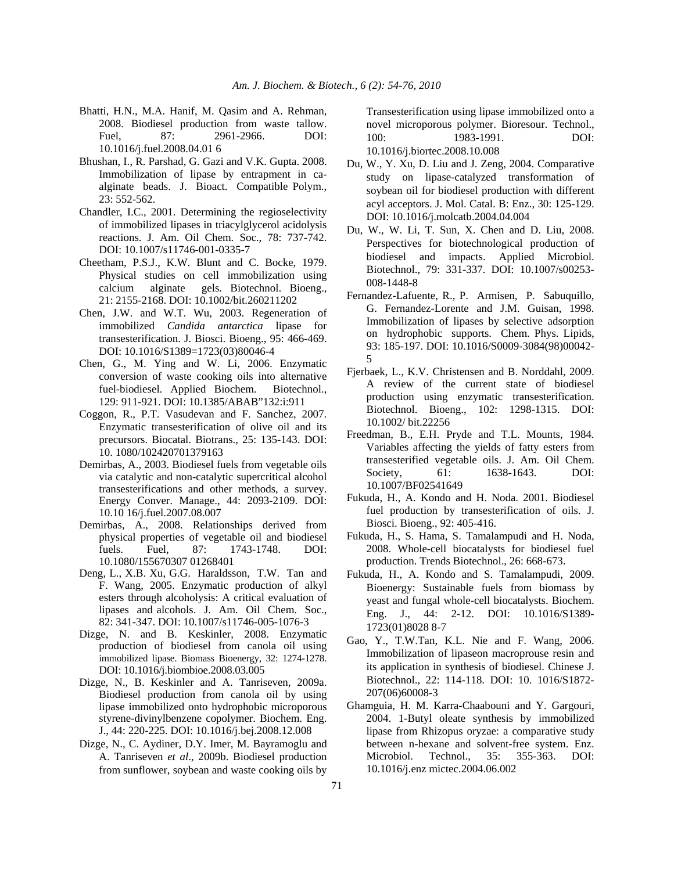- Bhatti, H.N., M.A. Hanif, M. Qasim and A. Rehman, 2008. Biodiesel production from waste tallow. Fuel, 87: 2961-2966. DOI: 10.1016/j.fuel.2008.04.01 6
- Bhushan, I., R. Parshad, G. Gazi and V.K. Gupta. 2008. Immobilization of lipase by entrapment in caalginate beads. J. Bioact. Compatible Polym., 23: 552-562.
- Chandler, I.C., 2001. Determining the regioselectivity of immobilized lipases in triacylglycerol acidolysis reactions. J. Am. Oil Chem. Soc., 78: 737-742. DOI: 10.1007/s11746-001-0335-7
- Cheetham, P.S.J., K.W. Blunt and C. Bocke, 1979. Physical studies on cell immobilization using calcium alginate gels. Biotechnol. Bioeng., 21: 2155-2168. DOI: 10.1002/bit.260211202
- Chen, J.W. and W.T. Wu, 2003. Regeneration of immobilized *Candida antarctica* lipase for transesterification. J. Biosci. Bioeng., 95: 466-469. DOI: 10.1016/S1389=1723(03)80046-4
- Chen, G., M. Ying and W. Li, 2006. Enzymatic conversion of waste cooking oils into alternative fuel-biodiesel. Applied Biochem. Biotechnol., 129: 911-921. DOI: 10.1385/ABAB"132:i:911
- Coggon, R., P.T. Vasudevan and F. Sanchez, 2007. Enzymatic transesterification of olive oil and its precursors. Biocatal. Biotrans., 25: 135-143. DOI: 10. 1080/102420701379163
- Demirbas, A., 2003. Biodiesel fuels from vegetable oils via catalytic and non-catalytic supercritical alcohol transesterifications and other methods, a survey. Energy Conver. Manage., 44: 2093-2109. DOI: 10.10 16/j.fuel.2007.08.007
- Demirbas, A., 2008. Relationships derived from physical properties of vegetable oil and biodiesel fuels. Fuel, 87: 1743-1748. DOI: 10.1080/155670307 01268401
- Deng, L., X.B. Xu, G.G. Haraldsson, T.W. Tan and F. Wang, 2005. Enzymatic production of alkyl esters through alcoholysis: A critical evaluation of lipases and alcohols. J. Am. Oil Chem. Soc., 82: 341-347. DOI: 10.1007/s11746-005-1076-3
- Dizge, N. and B. Keskinler, 2008. Enzymatic production of biodiesel from canola oil using immobilized lipase. Biomass Bioenergy, 32: 1274-1278. DOI: 10.1016/j.biombioe.2008.03.005
- Dizge, N., B. Keskinler and A. Tanriseven, 2009a. Biodiesel production from canola oil by using lipase immobilized onto hydrophobic microporous styrene-divinylbenzene copolymer. Biochem. Eng. J., 44: 220-225. DOI: 10.1016/j.bej.2008.12.008
- Dizge, N., C. Aydiner, D.Y. Imer, M. Bayramoglu and A. Tanriseven *et al*., 2009b. Biodiesel production from sunflower, soybean and waste cooking oils by

Transesterification using lipase immobilized onto a novel microporous polymer. Bioresour. Technol., 100: 1983-1991. DOI: 10.1016/j.biortec.2008.10.008

- Du, W., Y. Xu, D. Liu and J. Zeng, 2004. Comparative study on lipase-catalyzed transformation of soybean oil for biodiesel production with different acyl acceptors. J. Mol. Catal. B: Enz., 30: 125-129. DOI: 10.1016/j.molcatb.2004.04.004
- Du, W., W. Li, T. Sun, X. Chen and D. Liu, 2008. Perspectives for biotechnological production of biodiesel and impacts. Applied Microbiol. Biotechnol., 79: 331-337. DOI: 10.1007/s00253- 008-1448-8
- Fernandez-Lafuente, R., P. Armisen, P. Sabuquillo, G. Fernandez-Lorente and J.M. Guisan, 1998. Immobilization of lipases by selective adsorption on hydrophobic supports. Chem. Phys. Lipids, 93: 185-197. DOI: 10.1016/S0009-3084(98)00042- 5
- Fjerbaek, L., K.V. Christensen and B. Norddahl, 2009. A review of the current state of biodiesel production using enzymatic transesterification. Biotechnol. Bioeng., 102: 1298-1315. DOI: 10.1002/ bit.22256
- Freedman, B., E.H. Pryde and T.L. Mounts, 1984. Variables affecting the yields of fatty esters from transesterified vegetable oils. J. Am. Oil Chem. Society, 61: 1638-1643. DOI: 10.1007/BF02541649
- Fukuda, H., A. Kondo and H. Noda. 2001. Biodiesel fuel production by transesterification of oils. J. Biosci. Bioeng., 92: 405-416.
- Fukuda, H., S. Hama, S. Tamalampudi and H. Noda, 2008. Whole-cell biocatalysts for biodiesel fuel production. Trends Biotechnol., 26: 668-673.
- Fukuda, H., A. Kondo and S. Tamalampudi, 2009. Bioenergy: Sustainable fuels from biomass by yeast and fungal whole-cell biocatalysts. Biochem. Eng. J., 44: 2-12. DOI: 10.1016/S1389- 1723(01)8028 8-7
- Gao, Y., T.W.Tan, K.L. Nie and F. Wang, 2006. Immobilization of lipaseon macroprouse resin and its application in synthesis of biodiesel. Chinese J. Biotechnol., 22: 114-118. DOI: 10. 1016/S1872- 207(06)60008-3
- Ghamguia, H. M. Karra-Chaabouni and Y. Gargouri, 2004. 1-Butyl oleate synthesis by immobilized lipase from Rhizopus oryzae: a comparative study between n-hexane and solvent-free system. Enz. Microbiol. Technol., 35: 355-363. DOI: 10.1016/j.enz mictec.2004.06.002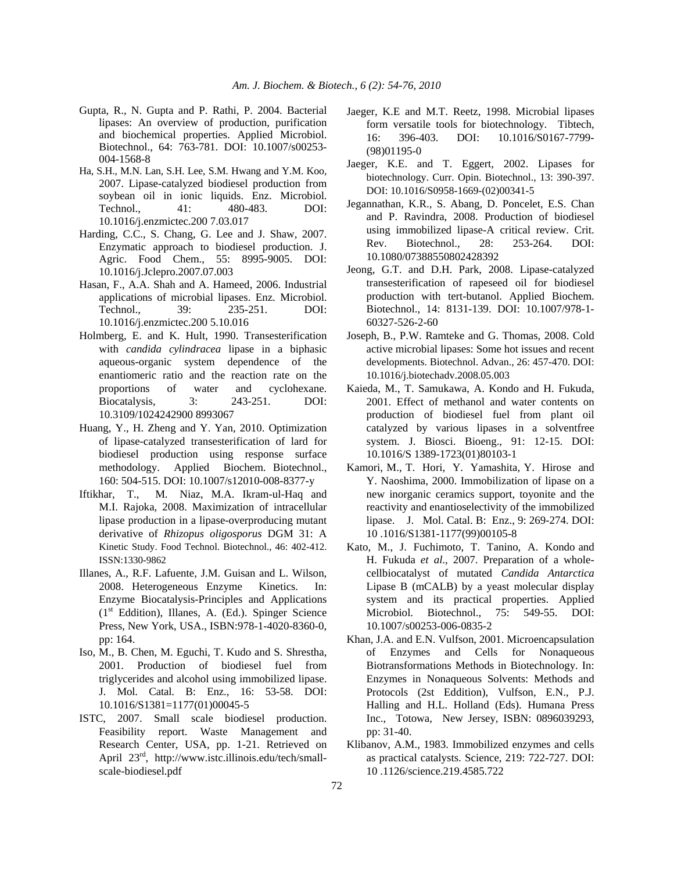- Gupta, R., N. Gupta and P. Rathi, P. 2004. Bacterial lipases: An overview of production, purification and biochemical properties. Applied Microbiol. Biotechnol., 64: 763-781. DOI: 10.1007/s00253- 004-1568-8
- Ha, S.H., M.N. Lan, S.H. Lee, S.M. Hwang and Y.M. Koo, 2007. Lipase-catalyzed biodiesel production from soybean oil in ionic liquids. Enz. Microbiol. Technol., 41: 480-483. DOI: 10.1016/j.enzmictec.200 7.03.017
- Harding, C.C., S. Chang, G. Lee and J. Shaw, 2007. Enzymatic approach to biodiesel production. J. Agric. Food Chem., 55: 8995-9005. DOI: 10.1016/j.Jclepro.2007.07.003
- Hasan, F., A.A. Shah and A. Hameed, 2006. Industrial applications of microbial lipases. Enz. Microbiol. Technol., 39: 235-251. DOI: 10.1016/j.enzmictec.200 5.10.016
- Holmberg, E. and K. Hult, 1990. Transesterification with *candida cylindracea* lipase in a biphasic aqueous-organic system dependence of the enantiomeric ratio and the reaction rate on the proportions of water and cyclohexane. Biocatalysis, 3: 243-251. DOI: 10.3109/1024242900 8993067
- Huang, Y., H. Zheng and Y. Yan, 2010. Optimization of lipase-catalyzed transesterification of lard for biodiesel production using response surface methodology. Applied Biochem. Biotechnol., 160: 504-515. DOI: 10.1007/s12010-008-8377-y
- Iftikhar, T., M. Niaz, M.A. Ikram-ul-Haq and M.I. Rajoka, 2008. Maximization of intracellular lipase production in a lipase-overproducing mutant derivative of *Rhizopus oligosporus* DGM 31: A Kinetic Study. Food Technol. Biotechnol., 46: 402-412. ISSN:1330-9862
- Illanes, A., R.F. Lafuente, J.M. Guisan and L. Wilson, 2008. Heterogeneous Enzyme Kinetics. In: Enzyme Biocatalysis-Principles and Applications  $(1<sup>st</sup> Eddition)$ , Illanes, A. (Ed.). Spinger Science Press, New York, USA., ISBN:978-1-4020-8360-0, pp: 164.
- Iso, M., B. Chen, M. Eguchi, T. Kudo and S. Shrestha, 2001. Production of biodiesel fuel from triglycerides and alcohol using immobilized lipase. J. Mol. Catal. B: Enz., 16: 53-58. DOI: 10.1016/S1381=1177(01)00045-5
- ISTC, 2007. Small scale biodiesel production. Feasibility report. Waste Management and Research Center, USA, pp. 1-21. Retrieved on April 23rd, http://www.istc.illinois.edu/tech/smallscale-biodiesel.pdf
- Jaeger, K.E and M.T. Reetz, 1998. Microbial lipases form versatile tools for biotechnology. Tibtech, 16: 396-403. DOI: 10.1016/S0167-7799- (98)01195-0
- Jaeger, K.E. and T. Eggert, 2002. Lipases for biotechnology. Curr. Opin. Biotechnol., 13: 390-397. DOI: 10.1016/S0958-1669-(02)00341-5
- Jegannathan, K.R., S. Abang, D. Poncelet, E.S. Chan and P. Ravindra, 2008. Production of biodiesel using immobilized lipase-A critical review. Crit. Rev. Biotechnol., 28: 253-264. DOI: 10.1080/07388550802428392
- Jeong, G.T. and D.H. Park, 2008. Lipase-catalyzed transesterification of rapeseed oil for biodiesel production with tert-butanol. Applied Biochem. Biotechnol., 14: 8131-139. DOI: 10.1007/978-1- 60327-526-2-60
- Joseph, B., P.W. Ramteke and G. Thomas, 2008. Cold active microbial lipases: Some hot issues and recent developments. Biotechnol. Advan., 26: 457-470. DOI: 10.1016/j.biotechadv.2008.05.003
- Kaieda, M., T. Samukawa, A. Kondo and H. Fukuda, 2001. Effect of methanol and water contents on production of biodiesel fuel from plant oil catalyzed by various lipases in a solventfree system. J. Biosci. Bioeng., 91: 12-15. DOI: 10.1016/S 1389-1723(01)80103-1
- Kamori, M., T. Hori, Y. Yamashita, Y. Hirose and Y. Naoshima, 2000. Immobilization of lipase on a new inorganic ceramics support, toyonite and the reactivity and enantioselectivity of the immobilized lipase. J. Mol. Catal. B: Enz., 9: 269-274. DOI: 10 .1016/S1381-1177(99)00105-8
- Kato, M., J. Fuchimoto, T. Tanino, A. Kondo and H. Fukuda *et al*., 2007. Preparation of a wholecellbiocatalyst of mutated *Candida Antarctica* Lipase B (mCALB) by a yeast molecular display system and its practical properties. Applied Microbiol. Biotechnol., 75: 549-55. DOI: 10.1007/s00253-006-0835-2
- Khan, J.A. and E.N. Vulfson, 2001. Microencapsulation of Enzymes and Cells for Nonaqueous Biotransformations Methods in Biotechnology. In: Enzymes in Nonaqueous Solvents: Methods and Protocols (2st Eddition), Vulfson, E.N., P.J. Halling and H.L. Holland (Eds). Humana Press Inc., Totowa, New Jersey, ISBN: 0896039293, pp: 31-40.
- Klibanov, A.M., 1983. Immobilized enzymes and cells as practical catalysts. Science, 219: 722-727. DOI: 10 .1126/science.219.4585.722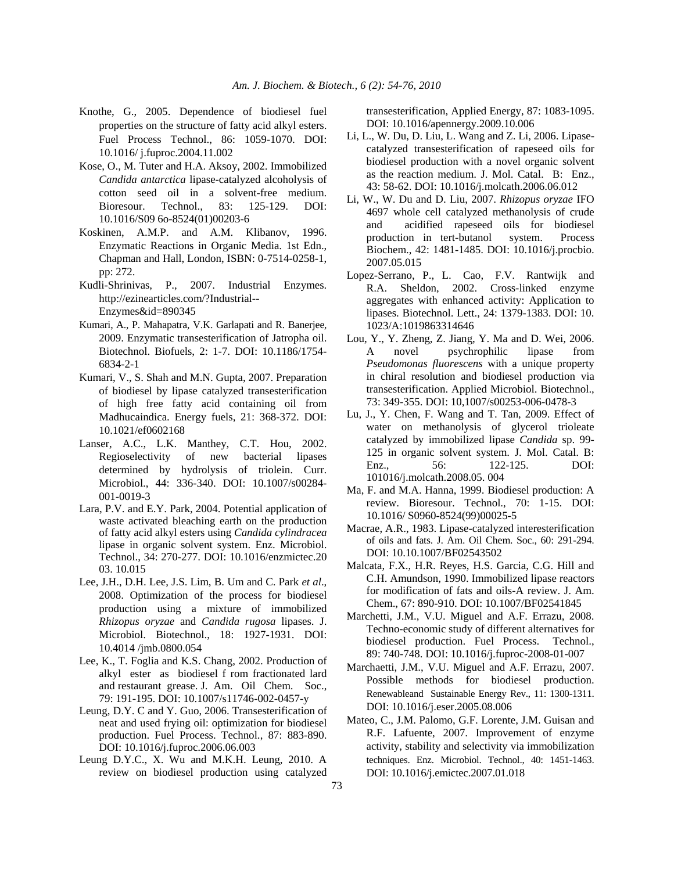- Knothe, G., 2005. Dependence of biodiesel fuel properties on the structure of fatty acid alkyl esters. Fuel Process Technol., 86: 1059-1070. DOI: 10.1016/ j.fuproc.2004.11.002
- Kose, O., M. Tuter and H.A. Aksoy, 2002. Immobilized *Candida antarctica* lipase-catalyzed alcoholysis of cotton seed oil in a solvent-free medium. Bioresour. Technol., 83: 125-129. DOI: 10.1016/S09 6o-8524(01)00203-6
- Koskinen, A.M.P. and A.M. Klibanov, 1996. Enzymatic Reactions in Organic Media. 1st Edn., Chapman and Hall, London, ISBN: 0-7514-0258-1, pp: 272.
- Kudli-Shrinivas, P., 2007. Industrial Enzymes. http://ezinearticles.com/?Industrial-- Enzymes&id=890345
- Kumari, A., P. Mahapatra, V.K. Garlapati and R. Banerjee, 2009. Enzymatic transesterification of Jatropha oil. Biotechnol. Biofuels, 2: 1-7. DOI: 10.1186/1754- 6834-2-1
- Kumari, V., S. Shah and M.N. Gupta, 2007. Preparation of biodiesel by lipase catalyzed transesterification of high free fatty acid containing oil from Madhucaindica. Energy fuels, 21: 368-372. DOI: 10.1021/ef0602168
- Lanser, A.C., L.K. Manthey, C.T. Hou, 2002. Regioselectivity of new bacterial lipases determined by hydrolysis of triolein. Curr. Microbiol., 44: 336-340. DOI: 10.1007/s00284- 001-0019-3
- Lara, P.V. and E.Y. Park, 2004. Potential application of waste activated bleaching earth on the production of fatty acid alkyl esters using *Candida cylindracea* lipase in organic solvent system. Enz. Microbiol. Technol., 34: 270-277. DOI: 10.1016/enzmictec.20 03. 10.015
- Lee, J.H., D.H. Lee, J.S. Lim, B. Um and C. Park *et al*., 2008. Optimization of the process for biodiesel production using a mixture of immobilized *Rhizopus oryzae* and *Candida rugosa* lipases. J. Microbiol. Biotechnol., 18: 1927-1931. DOI: 10.4014 /jmb.0800.054
- Lee, K., T. Foglia and K.S. Chang, 2002. Production of alkyl ester as biodiesel f rom fractionated lard and restaurant grease. J. Am. Oil Chem. Soc., 79: 191-195. DOI: 10.1007/s11746-002-0457-y
- Leung, D.Y. C and Y. Guo, 2006. Transesterification of neat and used frying oil: optimization for biodiesel production. Fuel Process. Technol., 87: 883-890. DOI: 10.1016/j.fuproc.2006.06.003
- Leung D.Y.C., X. Wu and M.K.H. Leung, 2010. A review on biodiesel production using catalyzed

transesterification, Applied Energy, 87: 1083-1095. DOI: 10.1016/apennergy.2009.10.006

- Li, L., W. Du, D. Liu, L. Wang and Z. Li, 2006. Lipasecatalyzed transesterification of rapeseed oils for biodiesel production with a novel organic solvent as the reaction medium. J. Mol. Catal. B: Enz., 43: 58-62. DOI: 10.1016/j.molcath.2006.06.012
- Li, W., W. Du and D. Liu, 2007. *Rhizopus oryzae* IFO 4697 whole cell catalyzed methanolysis of crude and acidified rapeseed oils for biodiesel production in tert-butanol system. Process Biochem., 42: 1481-1485. DOI: 10.1016/j.procbio. 2007.05.015
- Lopez-Serrano, P., L. Cao, F.V. Rantwijk and R.A. Sheldon, 2002. Cross-linked enzyme aggregates with enhanced activity: Application to lipases. Biotechnol. Lett., 24: 1379-1383. DOI: 10. 1023/A:1019863314646
- Lou, Y., Y. Zheng, Z. Jiang, Y. Ma and D. Wei, 2006. A novel psychrophilic lipase from *Pseudomonas fluorescens* with a unique property in chiral resolution and biodiesel production via transesterification. Applied Microbiol. Biotechnol., 73: 349-355. DOI: 10,1007/s00253-006-0478-3
- Lu, J., Y. Chen, F. Wang and T. Tan, 2009. Effect of water on methanolysis of glycerol trioleate catalyzed by immobilized lipase *Candida* sp. 99- 125 in organic solvent system. J. Mol. Catal. B: Enz., 56: 122-125. DOI: 101016/j.molcath.2008.05. 004
- Ma, F. and M.A. Hanna, 1999. Biodiesel production: A review. Bioresour. Technol., 70: 1-15. DOI: 10.1016/ S0960-8524(99)00025-5
- Macrae, A.R., 1983. Lipase-catalyzed interesterification of oils and fats. J. Am. Oil Chem. Soc., 60: 291-294. DOI: 10.10.1007/BF02543502
- Malcata, F.X., H.R. Reyes, H.S. Garcia, C.G. Hill and C.H. Amundson, 1990. Immobilized lipase reactors for modification of fats and oils-A review. J. Am. Chem., 67: 890-910. DOI: 10.1007/BF02541845
- Marchetti, J.M., V.U. Miguel and A.F. Errazu, 2008. Techno-economic study of different alternatives for biodiesel production. Fuel Process. Technol., 89: 740-748. DOI: 10.1016/j.fuproc-2008-01-007
- Marchaetti, J.M., V.U. Miguel and A.F. Errazu, 2007. Possible methods for biodiesel production. Renewableand Sustainable Energy Rev., 11: 1300-1311. DOI: 10.1016/j.eser.2005.08.006
- Mateo, C., J.M. Palomo, G.F. Lorente, J.M. Guisan and R.F. Lafuente, 2007. Improvement of enzyme activity, stability and selectivity via immobilization techniques. Enz. Microbiol. Technol., 40: 1451-1463. DOI: 10.1016/j.emictec.2007.01.018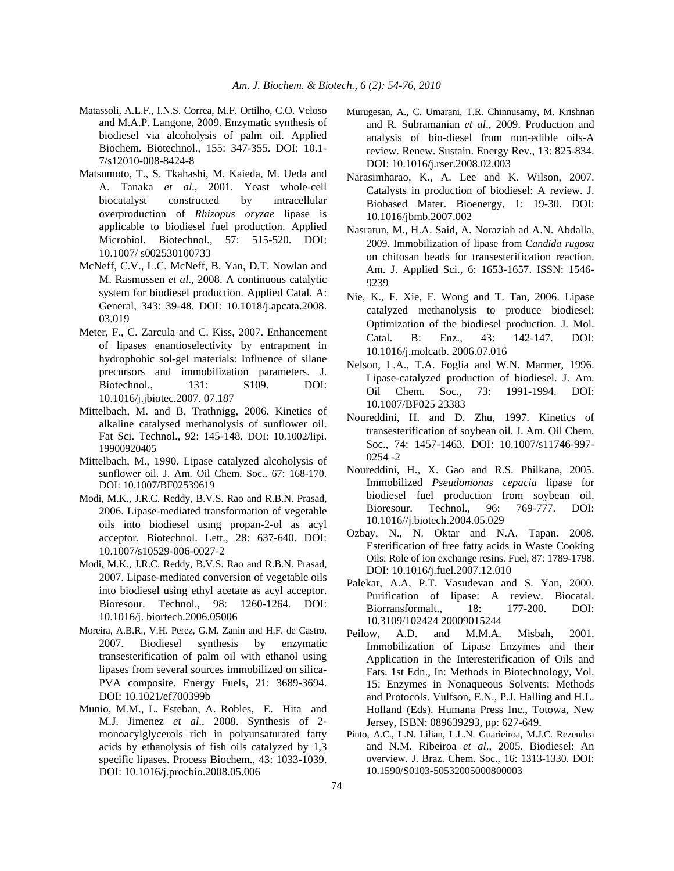- Matassoli, A.L.F., I.N.S. Correa, M.F. Ortilho, C.O. Veloso and M.A.P. Langone, 2009. Enzymatic synthesis of biodiesel via alcoholysis of palm oil. Applied Biochem. Biotechnol., 155: 347-355. DOI: 10.1- 7/s12010-008-8424-8
- Matsumoto, T., S. Tkahashi, M. Kaieda, M. Ueda and A. Tanaka *et al*., 2001. Yeast whole-cell biocatalyst constructed by intracellular overproduction of *Rhizopus oryzae* lipase is applicable to biodiesel fuel production. Applied Microbiol. Biotechnol., 57: 515-520. DOI: 10.1007/ s002530100733
- McNeff, C.V., L.C. McNeff, B. Yan, D.T. Nowlan and M. Rasmussen *et al*., 2008. A continuous catalytic system for biodiesel production. Applied Catal. A: General, 343: 39-48. DOI: 10.1018/j.apcata.2008. 03.019
- Meter, F., C. Zarcula and C. Kiss, 2007. Enhancement of lipases enantioselectivity by entrapment in hydrophobic sol-gel materials: Influence of silane precursors and immobilization parameters. J. Biotechnol., 131: S109. DOI: 10.1016/j.jbiotec.2007. 07.187
- Mittelbach, M. and B. Trathnigg, 2006. Kinetics of alkaline catalysed methanolysis of sunflower oil. Fat Sci. Technol., 92: 145-148. DOI: 10.1002/lipi. 19900920405
- Mittelbach, M., 1990. Lipase catalyzed alcoholysis of sunflower oil. J. Am. Oil Chem. Soc., 67: 168-170. DOI: 10.1007/BF02539619
- Modi, M.K., J.R.C. Reddy, B.V.S. Rao and R.B.N. Prasad, 2006. Lipase-mediated transformation of vegetable oils into biodiesel using propan-2-ol as acyl acceptor. Biotechnol. Lett., 28: 637-640. DOI: 10.1007/s10529-006-0027-2
- Modi, M.K., J.R.C. Reddy, B.V.S. Rao and R.B.N. Prasad, 2007. Lipase-mediated conversion of vegetable oils into biodiesel using ethyl acetate as acyl acceptor. Bioresour. Technol., 98: 1260-1264. DOI: 10.1016/j. biortech.2006.05006
- Moreira, A.B.R., V.H. Perez, G.M. Zanin and H.F. de Castro, 2007. Biodiesel synthesis by enzymatic transesterification of palm oil with ethanol using lipases from several sources immobilized on silica-PVA composite. Energy Fuels, 21: 3689-3694. DOI: 10.1021/ef700399b
- Munio, M.M., L. Esteban, A. Robles, E. Hita and M.J. Jimenez *et al*., 2008. Synthesis of 2 monoacylglycerols rich in polyunsaturated fatty acids by ethanolysis of fish oils catalyzed by 1,3 specific lipases. Process Biochem., 43: 1033-1039. DOI: 10.1016/j.procbio.2008.05.006
- Murugesan, A., C. Umarani, T.R. Chinnusamy, M. Krishnan and R. Subramanian *et al*., 2009. Production and analysis of bio-diesel from non-edible oils-A review. Renew. Sustain. Energy Rev., 13: 825-834. DOI: 10.1016/j.rser.2008.02.003
- Narasimharao, K., A. Lee and K. Wilson, 2007. Catalysts in production of biodiesel: A review. J. Biobased Mater. Bioenergy, 1: 19-30. DOI: 10.1016/jbmb.2007.002
- Nasratun, M., H.A. Said, A. Noraziah ad A.N. Abdalla, 2009. Immobilization of lipase from C*andida rugosa* on chitosan beads for transesterification reaction. Am. J. Applied Sci., 6: 1653-1657. ISSN: 1546- 9239
- Nie, K., F. Xie, F. Wong and T. Tan, 2006. Lipase catalyzed methanolysis to produce biodiesel: Optimization of the biodiesel production. J. Mol. Catal. B: Enz., 43: 142-147. DOI: 10.1016/j.molcatb. 2006.07.016
- Nelson, L.A., T.A. Foglia and W.N. Marmer, 1996. Lipase-catalyzed production of biodiesel. J. Am. Oil Chem. Soc., 73: 1991-1994. DOI: 10.1007/BF025 23383
- Noureddini, H. and D. Zhu, 1997. Kinetics of transesterification of soybean oil. J. Am. Oil Chem. Soc., 74: 1457-1463. DOI: 10.1007/s11746-997- 0254 -2
- Noureddini, H., X. Gao and R.S. Philkana, 2005. Immobilized *Pseudomonas cepacia* lipase for biodiesel fuel production from soybean oil. Bioresour. Technol., 96: 769-777. DOI: 10.1016//j.biotech.2004.05.029
- Ozbay, N., N. Oktar and N.A. Tapan. 2008. Esterification of free fatty acids in Waste Cooking Oils: Role of ion exchange resins. Fuel, 87: 1789-1798. DOI: 10.1016/j.fuel.2007.12.010
- Palekar, A.A, P.T. Vasudevan and S. Yan, 2000. Purification of lipase: A review. Biocatal. Biorransformalt., 18: 177-200. DOI: 10.3109/102424 20009015244
- Peilow, A.D. and M.M.A. Misbah, 2001. Immobilization of Lipase Enzymes and their Application in the Interesterification of Oils and Fats. 1st Edn., In: Methods in Biotechnology, Vol. 15: Enzymes in Nonaqueous Solvents: Methods and Protocols. Vulfson, E.N., P.J. Halling and H.L. Holland (Eds). Humana Press Inc., Totowa, New Jersey, ISBN: 089639293, pp: 627-649.
- Pinto, A.C., L.N. Lilian, L.L.N. Guarieiroa, M.J.C. Rezendea and N.M. Ribeiroa *et al*., 2005. Biodiesel: An overview. J. Braz. Chem. Soc., 16: 1313-1330. DOI: 10.1590/S0103-50532005000800003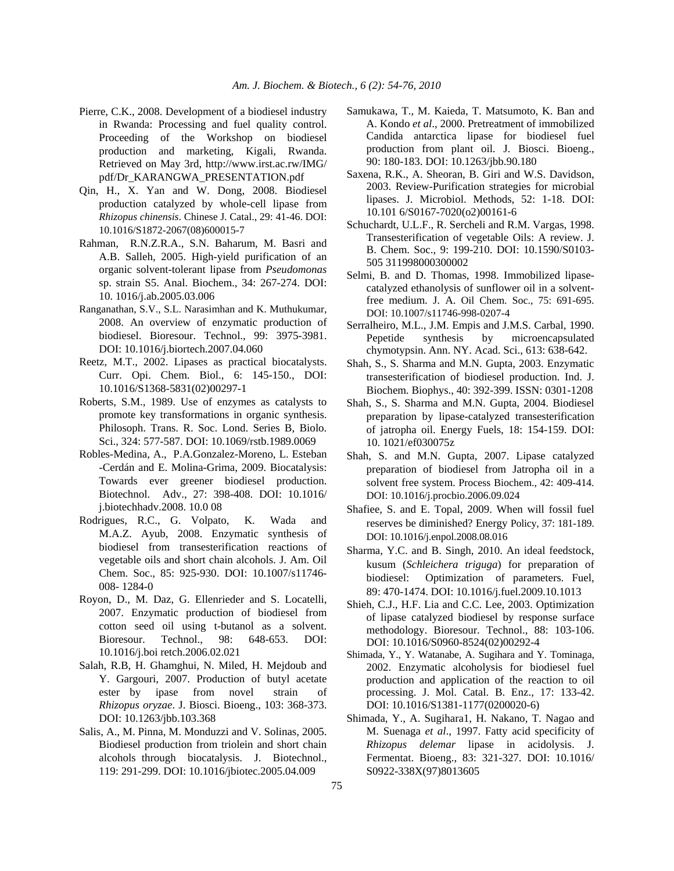- Pierre, C.K., 2008. Development of a biodiesel industry in Rwanda: Processing and fuel quality control. Proceeding of the Workshop on biodiesel production and marketing, Kigali, Rwanda. Retrieved on May 3rd, http://www.irst.ac.rw/IMG/ pdf/Dr\_KARANGWA\_PRESENTATION.pdf
- Qin, H., X. Yan and W. Dong, 2008. Biodiesel production catalyzed by whole-cell lipase from *Rhizopus chinensis*. Chinese J. Catal., 29: 41-46. DOI: 10.1016/S1872-2067(08)600015-7
- Rahman, R.N.Z.R.A., S.N. Baharum, M. Basri and A.B. Salleh, 2005. High-yield purification of an organic solvent-tolerant lipase from *Pseudomonas* sp. strain S5. Anal. Biochem., 34: 267-274. DOI: 10. 1016/j.ab.2005.03.006
- Ranganathan, S.V., S.L. Narasimhan and K. Muthukumar, 2008. An overview of enzymatic production of biodiesel. Bioresour. Technol., 99: 3975-3981. DOI: 10.1016/j.biortech.2007.04.060
- Reetz, M.T., 2002. Lipases as practical biocatalysts. Curr. Opi. Chem. Biol., 6: 145-150., DOI: 10.1016/S1368-5831(02)00297-1
- Roberts, S.M., 1989. Use of enzymes as catalysts to promote key transformations in organic synthesis. Philosoph. Trans. R. Soc. Lond. Series B, Biolo. Sci., 324: 577-587. DOI: 10.1069/rstb.1989.0069
- Robles-Medina, A., P.A.Gonzalez-Moreno, L. Esteban -Cerdán and E. Molina-Grima, 2009. Biocatalysis: Towards ever greener biodiesel production. Biotechnol. Adv., 27: 398-408. DOI: 10.1016/ j.biotechhadv.2008. 10.0 08
- Rodrigues, R.C., G. Volpato, K. Wada and M.A.Z. Ayub, 2008. Enzymatic synthesis of biodiesel from transesterification reactions of vegetable oils and short chain alcohols. J. Am. Oil Chem. Soc., 85: 925-930. DOI: 10.1007/s11746- 008- 1284-0
- Royon, D., M. Daz, G. Ellenrieder and S. Locatelli, 2007. Enzymatic production of biodiesel from cotton seed oil using t-butanol as a solvent. Bioresour. Technol., 98: 648-653. DOI: 10.1016/j.boi retch.2006.02.021
- Salah, R.B, H. Ghamghui, N. Miled, H. Mejdoub and Y. Gargouri, 2007. Production of butyl acetate ester by ipase from novel strain of *Rhizopus oryzae*. J. Biosci. Bioeng., 103: 368-373. DOI: 10.1263/jbb.103.368
- Salis, A., M. Pinna, M. Monduzzi and V. Solinas, 2005. Biodiesel production from triolein and short chain alcohols through biocatalysis. J. Biotechnol., 119: 291-299. DOI: 10.1016/jbiotec.2005.04.009
- Samukawa, T., M. Kaieda, T. Matsumoto, K. Ban and A. Kondo *et al*., 2000. Pretreatment of immobilized Candida antarctica lipase for biodiesel fuel production from plant oil. J. Biosci. Bioeng., 90: 180-183. DOI: 10.1263/jbb.90.180
- Saxena, R.K., A. Sheoran, B. Giri and W.S. Davidson, 2003. Review-Purification strategies for microbial lipases. J. Microbiol. Methods, 52: 1-18. DOI: 10.101 6/S0167-7020(o2)00161-6
- Schuchardt, U.L.F., R. Sercheli and R.M. Vargas, 1998. Transesterification of vegetable Oils: A review. J. B. Chem. Soc., 9: 199-210. DOI: 10.1590/S0103- 505 311998000300002
- Selmi, B. and D. Thomas, 1998. Immobilized lipasecatalyzed ethanolysis of sunflower oil in a solventfree medium. J. A. Oil Chem. Soc., 75: 691-695. DOI: 10.1007/s11746-998-0207-4
- Serralheiro, M.L., J.M. Empis and J.M.S. Carbal, 1990. Pepetide synthesis by microencapsulated chymotypsin. Ann. NY. Acad. Sci., 613: 638-642.
- Shah, S., S. Sharma and M.N. Gupta, 2003. Enzymatic transesterification of biodiesel production. Ind. J. Biochem. Biophys., 40: 392-399. ISSN: 0301-1208
- Shah, S., S. Sharma and M.N. Gupta, 2004. Biodiesel preparation by lipase-catalyzed transesterification of jatropha oil. Energy Fuels, 18: 154-159. DOI: 10. 1021/ef030075z
- Shah, S. and M.N. Gupta, 2007. Lipase catalyzed preparation of biodiesel from Jatropha oil in a solvent free system. Process Biochem., 42: 409-414. DOI: 10.1016/j.procbio.2006.09.024
- Shafiee, S. and E. Topal, 2009. When will fossil fuel reserves be diminished? Energy Policy, 37: 181-189. DOI: 10.1016/j.enpol.2008.08.016
- Sharma, Y.C. and B. Singh, 2010. An ideal feedstock, kusum (*Schleichera triguga*) for preparation of biodiesel: Optimization of parameters. Fuel, 89: 470-1474. DOI: 10.1016/j.fuel.2009.10.1013
- Shieh, C.J., H.F. Lia and C.C. Lee, 2003. Optimization of lipase catalyzed biodiesel by response surface methodology. Bioresour. Technol., 88: 103-106. DOI: 10.1016/S0960-8524(02)00292-4
- Shimada, Y., Y. Watanabe, A. Sugihara and Y. Tominaga, 2002. Enzymatic alcoholysis for biodiesel fuel production and application of the reaction to oil processing. J. Mol. Catal. B. Enz., 17: 133-42. DOI: 10.1016/S1381-1177(0200020-6)
- Shimada, Y., A. Sugihara1, H. Nakano, T. Nagao and M. Suenaga *et al*., 1997. Fatty acid specificity of *Rhizopus delemar* lipase in acidolysis. J. Fermentat. Bioeng., 83: 321-327. DOI: 10.1016/ S0922-338X(97)8013605